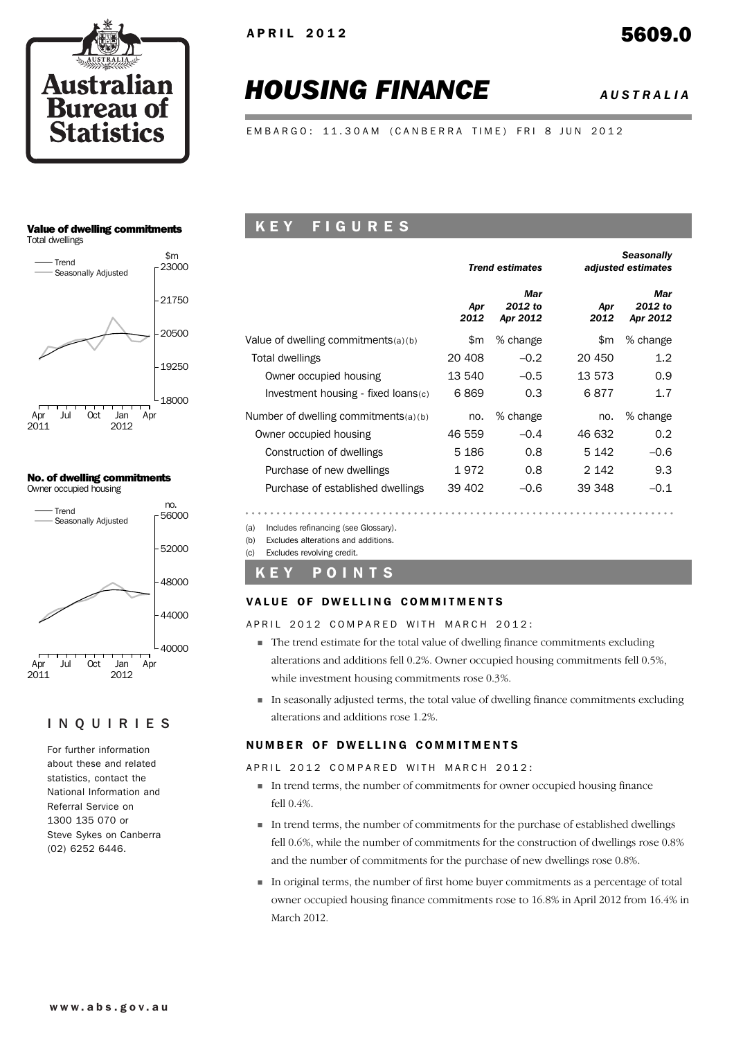

# *HOUSING FINANCE AUSTRALIA*

EMBARGO: 11.30AM (CANBERRA TIME) FRI 8 JUN 2012

### Value of dwelling commitments





### No. of dwelling commitments Owner occupied housing



### INQUIRIES

For further information about these and related statistics, contact the National Information and Referral Service on 1300 135 070 or Steve Sykes on Canberra (02) 6252 6446.

### K E Y F I G U R E S

|                                      |             | <b>Trend estimates</b>     |             | <b>Seasonally</b><br>adjusted estimates |
|--------------------------------------|-------------|----------------------------|-------------|-----------------------------------------|
|                                      | Apr<br>2012 | Mar<br>2012 to<br>Apr 2012 | Apr<br>2012 | Mar<br>2012 to<br>Apr 2012              |
| Value of dwelling commitments(a)(b)  | \$m         | % change                   | \$m         | % change                                |
| Total dwellings                      | 20 408      | $-0.2$                     | 20 450      | $1.2\,$                                 |
| Owner occupied housing               | 13 540      | $-0.5$                     | 13 573      | 0.9                                     |
| Investment housing - fixed loans(c)  | 6869        | 0.3                        | 6877        | 1.7                                     |
| Number of dwelling commitments(a)(b) | no.         | % change                   | no.         | % change                                |
| Owner occupied housing               | 46 559      | $-0.4$                     | 46 632      | 0.2                                     |
| Construction of dwellings            | 5 1 8 6     | 0.8                        | 5 1 4 2     | $-0.6$                                  |
| Purchase of new dwellings            | 1972        | 0.8                        | 2 142       | 9.3                                     |
| Purchase of established dwellings    | 39 402      | $-0.6$                     | 39 348      | $-0.1$                                  |
|                                      |             |                            |             |                                         |

(a) Includes refinancing (see Glossary).

(b) Excludes alterations and additions.

(c) Excludes revolving credit.

### K E Y P O I N T S

### VALUE OF DWELLING COMMITMENTS

APRIL 2012 COMPARED WITH MARCH 2012:

- ! The trend estimate for the total value of dwelling finance commitments excluding alterations and additions fell 0.2%. Owner occupied housing commitments fell 0.5%, while investment housing commitments rose 0.3%.
- ! In seasonally adjusted terms, the total value of dwelling finance commitments excluding alterations and additions rose 1.2%.

### NUMBER OF DWELLING COMMITMENTS

APRIL 2012 COMPARED WITH MARCH 2012:

- ! In trend terms, the number of commitments for owner occupied housing finance fell 0.4%.
- ! In trend terms, the number of commitments for the purchase of established dwellings fell 0.6%, while the number of commitments for the construction of dwellings rose 0.8% and the number of commitments for the purchase of new dwellings rose 0.8%.
- ! In original terms, the number of first home buyer commitments as a percentage of total owner occupied housing finance commitments rose to 16.8% in April 2012 from 16.4% in March 2012.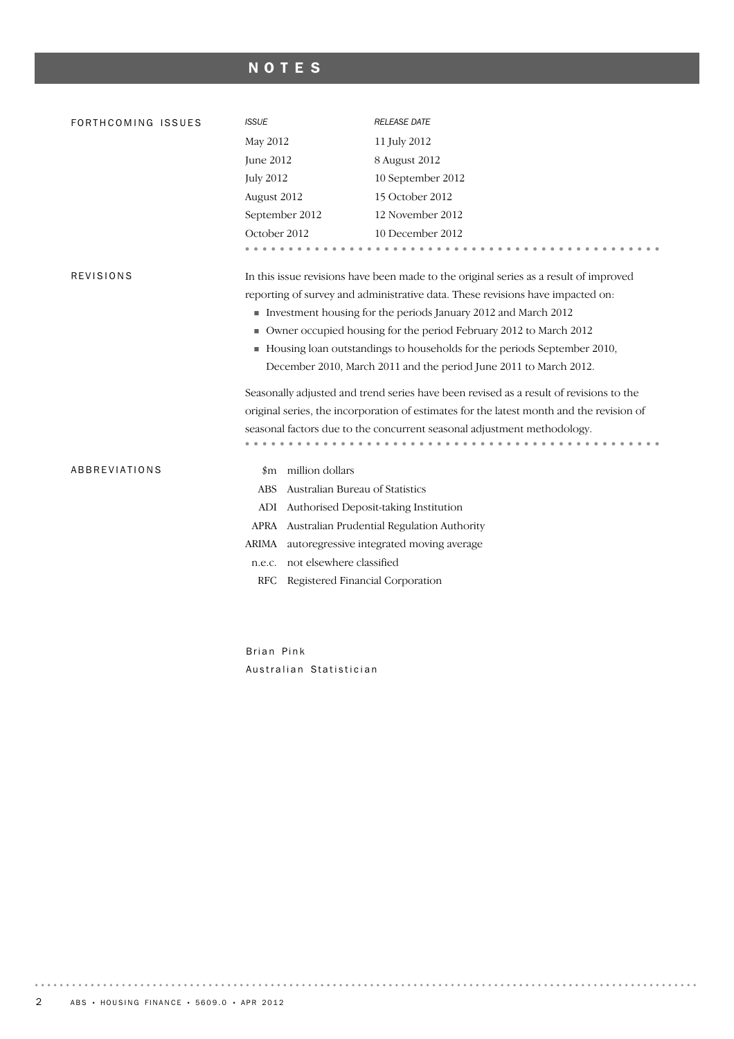## NOTES

| FORTHCOMING ISSUES | <b>ISSUE</b>                                                                           | <b>RELEASE DATE</b>                                                                      |  |  |  |  |  |
|--------------------|----------------------------------------------------------------------------------------|------------------------------------------------------------------------------------------|--|--|--|--|--|
|                    | May 2012                                                                               | 11 July 2012                                                                             |  |  |  |  |  |
|                    | <b>June 2012</b>                                                                       | 8 August 2012                                                                            |  |  |  |  |  |
|                    | <b>July 2012</b>                                                                       | 10 September 2012                                                                        |  |  |  |  |  |
|                    | August 2012                                                                            | 15 October 2012                                                                          |  |  |  |  |  |
|                    | September 2012                                                                         | 12 November 2012                                                                         |  |  |  |  |  |
|                    | October 2012                                                                           | 10 December 2012                                                                         |  |  |  |  |  |
|                    |                                                                                        |                                                                                          |  |  |  |  |  |
| <b>REVISIONS</b>   |                                                                                        | In this issue revisions have been made to the original series as a result of improved    |  |  |  |  |  |
|                    |                                                                                        | reporting of survey and administrative data. These revisions have impacted on:           |  |  |  |  |  |
|                    | Investment housing for the periods January 2012 and March 2012                         |                                                                                          |  |  |  |  |  |
|                    |                                                                                        | • Owner occupied housing for the period February 2012 to March 2012                      |  |  |  |  |  |
|                    |                                                                                        | Housing loan outstandings to households for the periods September 2010,                  |  |  |  |  |  |
|                    |                                                                                        | December 2010, March 2011 and the period June 2011 to March 2012.                        |  |  |  |  |  |
|                    | Seasonally adjusted and trend series have been revised as a result of revisions to the |                                                                                          |  |  |  |  |  |
|                    |                                                                                        | original series, the incorporation of estimates for the latest month and the revision of |  |  |  |  |  |
|                    |                                                                                        | seasonal factors due to the concurrent seasonal adjustment methodology.                  |  |  |  |  |  |
|                    |                                                                                        |                                                                                          |  |  |  |  |  |
| ABBREVIATIONS      | \$m million dollars                                                                    |                                                                                          |  |  |  |  |  |
|                    | Australian Bureau of Statistics<br>ABS                                                 |                                                                                          |  |  |  |  |  |
|                    | ADI Authorised Deposit-taking Institution                                              |                                                                                          |  |  |  |  |  |
|                    |                                                                                        | APRA Australian Prudential Regulation Authority                                          |  |  |  |  |  |
|                    | ARIMA                                                                                  | autoregressive integrated moving average                                                 |  |  |  |  |  |
|                    | not elsewhere classified<br>n.e.c.                                                     |                                                                                          |  |  |  |  |  |
|                    | Registered Financial Corporation<br>RFC                                                |                                                                                          |  |  |  |  |  |

Brian Pink Australian Statistician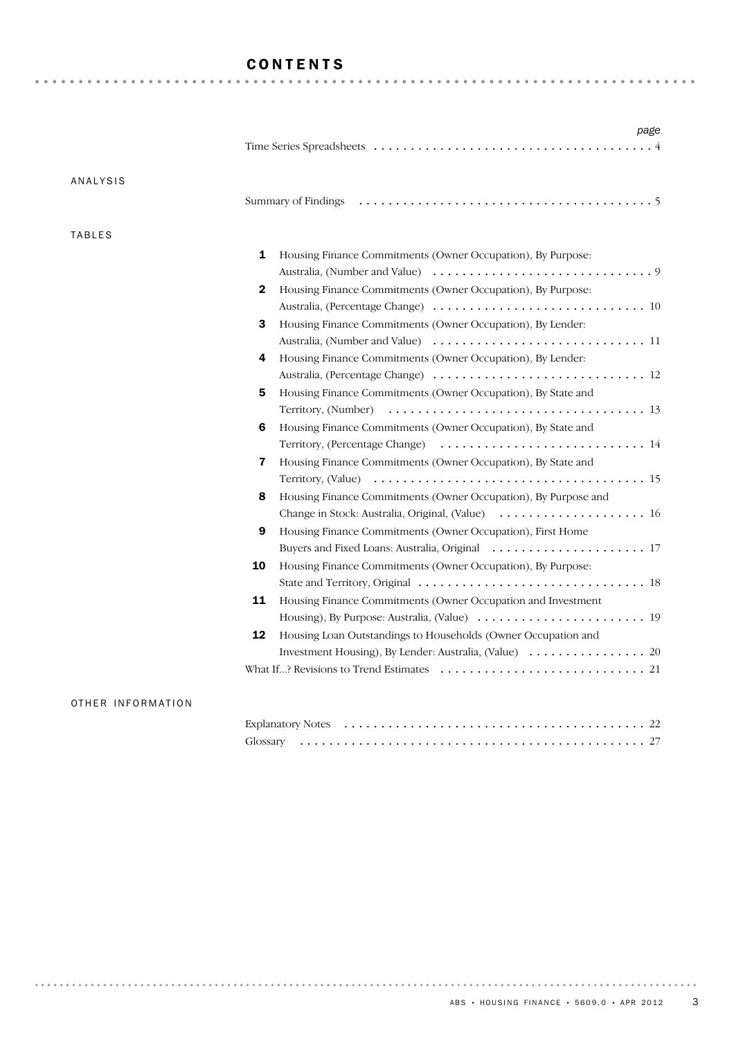### CONTENTS

| ANALYSIS      |                                                                     |
|---------------|---------------------------------------------------------------------|
|               |                                                                     |
| <b>TABLES</b> |                                                                     |
|               | 1<br>Housing Finance Commitments (Owner Occupation), By Purpose:    |
|               |                                                                     |
|               | Housing Finance Commitments (Owner Occupation), By Purpose:<br>2    |
|               |                                                                     |
|               | 3<br>Housing Finance Commitments (Owner Occupation), By Lender:     |
|               |                                                                     |
|               | Housing Finance Commitments (Owner Occupation), By Lender:<br>4     |
|               |                                                                     |
|               | 5<br>Housing Finance Commitments (Owner Occupation), By State and   |
|               |                                                                     |
|               | 6<br>Housing Finance Commitments (Owner Occupation), By State and   |
|               |                                                                     |
|               | 7<br>Housing Finance Commitments (Owner Occupation), By State and   |
|               |                                                                     |
|               | Housing Finance Commitments (Owner Occupation), By Purpose and<br>8 |
|               | Change in Stock: Australia, Original, (Value)  16                   |
|               | 9<br>Housing Finance Commitments (Owner Occupation), First Home     |
|               |                                                                     |
|               | 10<br>Housing Finance Commitments (Owner Occupation), By Purpose:   |
|               |                                                                     |
|               | 11<br>Housing Finance Commitments (Owner Occupation and Investment  |
|               |                                                                     |
|               | 12<br>Housing Loan Outstandings to Households (Owner Occupation and |
|               |                                                                     |
|               |                                                                     |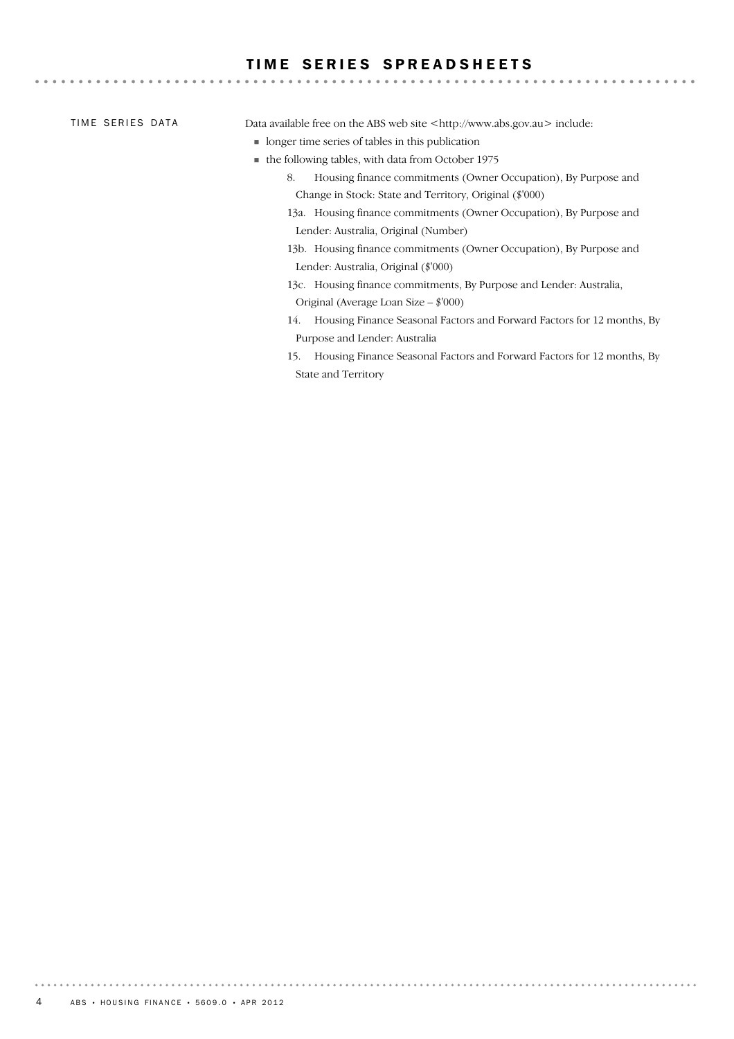### TIME SERIES SPREADSHEETS

TIME SERIES DATA

Data available free on the ABS web site <http://www.abs.gov.au> include:

- ! longer time series of tables in this publication
- ! the following tables, with data from October 1975
	- 8. Housing finance commitments (Owner Occupation), By Purpose and Change in Stock: State and Territory, Original (\$'000)

- 13a. Housing finance commitments (Owner Occupation), By Purpose and Lender: Australia, Original (Number)
- 13b. Housing finance commitments (Owner Occupation), By Purpose and Lender: Australia, Original (\$'000)
- 13c. Housing finance commitments, By Purpose and Lender: Australia, Original (Average Loan Size – \$'000)
- 14. Housing Finance Seasonal Factors and Forward Factors for 12 months, By Purpose and Lender: Australia
- 15. Housing Finance Seasonal Factors and Forward Factors for 12 months, By State and Territory

. . . . . . . . .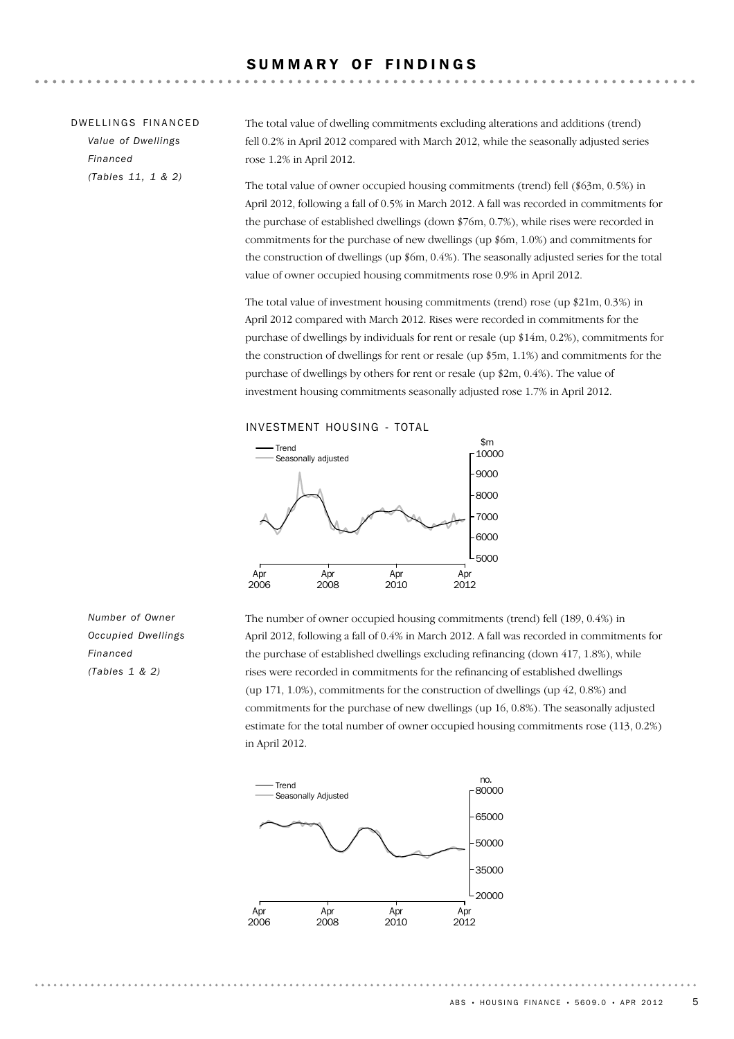### DW FILINGS FINANCED *Value of Dwellings Financed*

*(Tables 11, 1 & 2)*

The total value of dwelling commitments excluding alterations and additions (trend) fell 0.2% in April 2012 compared with March 2012, while the seasonally adjusted series rose 1.2% in April 2012.

The total value of owner occupied housing commitments (trend) fell (\$63m, 0.5%) in April 2012, following a fall of 0.5% in March 2012. A fall was recorded in commitments for the purchase of established dwellings (down \$76m, 0.7%), while rises were recorded in commitments for the purchase of new dwellings (up \$6m, 1.0%) and commitments for the construction of dwellings (up \$6m, 0.4%). The seasonally adjusted series for the total value of owner occupied housing commitments rose 0.9% in April 2012.

The total value of investment housing commitments (trend) rose (up \$21m, 0.3%) in April 2012 compared with March 2012. Rises were recorded in commitments for the purchase of dwellings by individuals for rent or resale (up \$14m, 0.2%), commitments for the construction of dwellings for rent or resale (up \$5m, 1.1%) and commitments for the purchase of dwellings by others for rent or resale (up \$2m, 0.4%). The value of investment housing commitments seasonally adjusted rose 1.7% in April 2012.





*Number of Owner Occupied Dwellings Financed (Tables 1 & 2)*

The number of owner occupied housing commitments (trend) fell (189, 0.4%) in April 2012, following a fall of 0.4% in March 2012. A fall was recorded in commitments for the purchase of established dwellings excluding refinancing (down 417, 1.8%), while rises were recorded in commitments for the refinancing of established dwellings (up 171, 1.0%), commitments for the construction of dwellings (up 42, 0.8%) and commitments for the purchase of new dwellings (up 16, 0.8%). The seasonally adjusted estimate for the total number of owner occupied housing commitments rose (113, 0.2%) in April 2012.

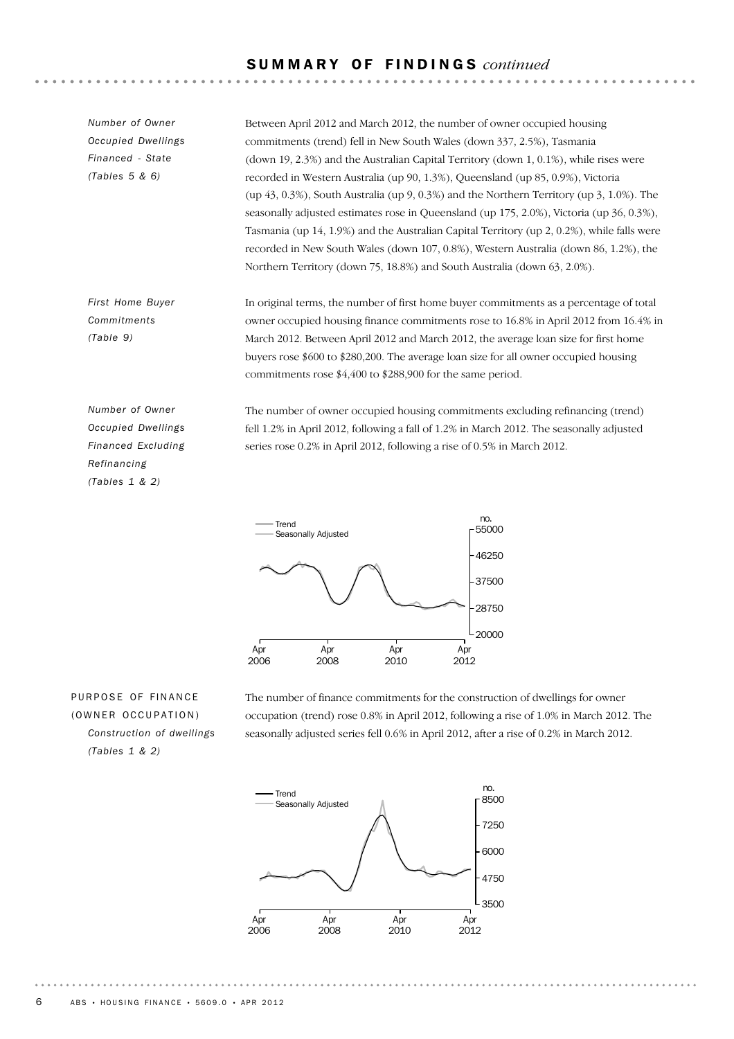### S U M M A R Y O F F I N D I N G S *continued*

*Number of Owner Occupied Dwellings Financed - State (Tables 5 & 6)*

Between April 2012 and March 2012, the number of owner occupied housing commitments (trend) fell in New South Wales (down 337, 2.5%), Tasmania (down 19, 2.3%) and the Australian Capital Territory (down 1, 0.1%), while rises were recorded in Western Australia (up 90, 1.3%), Queensland (up 85, 0.9%), Victoria (up 43, 0.3%), South Australia (up 9, 0.3%) and the Northern Territory (up 3, 1.0%). The seasonally adjusted estimates rose in Queensland (up 175, 2.0%), Victoria (up 36, 0.3%), Tasmania (up 14, 1.9%) and the Australian Capital Territory (up 2, 0.2%), while falls were recorded in New South Wales (down 107, 0.8%), Western Australia (down 86, 1.2%), the Northern Territory (down 75, 18.8%) and South Australia (down 63, 2.0%).

In original terms, the number of first home buyer commitments as a percentage of total owner occupied housing finance commitments rose to 16.8% in April 2012 from 16.4% in March 2012. Between April 2012 and March 2012, the average loan size for first home buyers rose \$600 to \$280,200. The average loan size for all owner occupied housing commitments rose \$4,400 to \$288,900 for the same period.

*Number of Owner Occupied Dwellings Financed Excluding Refinancing (Tables 1 & 2)*

*First Home Buyer Commitments (Table 9)*

> The number of owner occupied housing commitments excluding refinancing (trend) fell 1.2% in April 2012, following a fall of 1.2% in March 2012. The seasonally adjusted series rose 0.2% in April 2012, following a rise of 0.5% in March 2012.



PURPOSE OF FINANCE (OWNER OCCUPATION) *Construction of dwellings (Tables 1 & 2)*

The number of finance commitments for the construction of dwellings for owner occupation (trend) rose 0.8% in April 2012, following a rise of 1.0% in March 2012. The seasonally adjusted series fell 0.6% in April 2012, after a rise of 0.2% in March 2012.

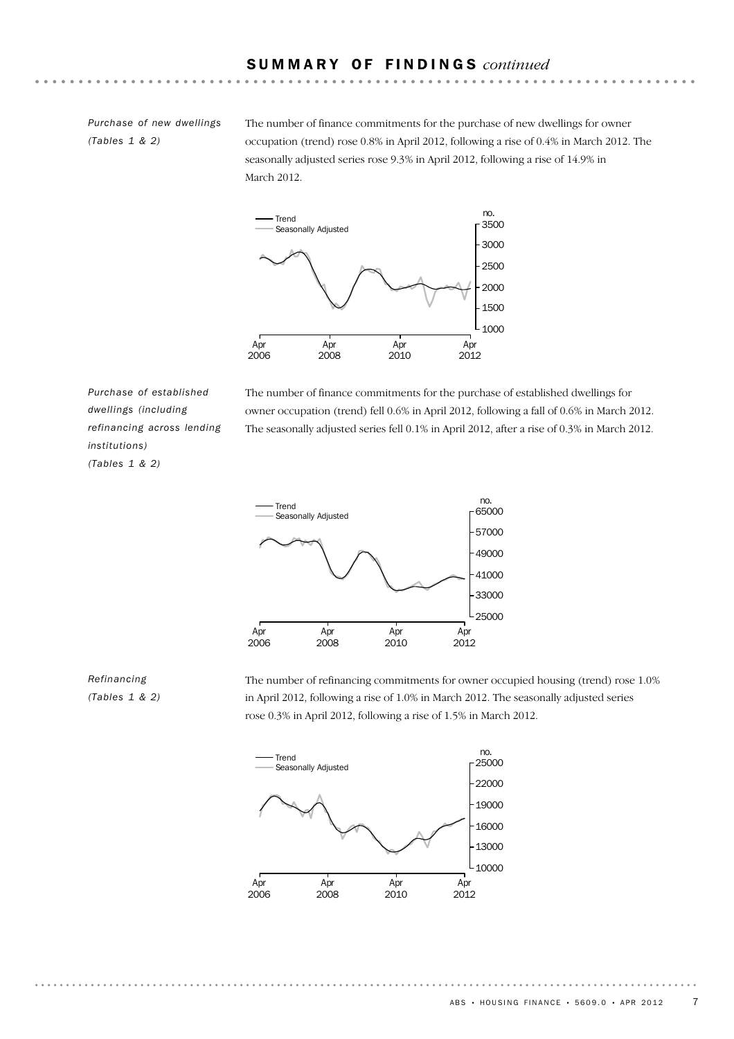### S U M M A R Y O F F I N D I N G S *continued*

*Purchase of new dwellings (Tables 1 & 2)*

The number of finance commitments for the purchase of new dwellings for owner occupation (trend) rose 0.8% in April 2012, following a rise of 0.4% in March 2012. The seasonally adjusted series rose 9.3% in April 2012, following a rise of 14.9% in March 2012.



*Purchase of established dwellings (including refinancing across lending institutions) (Tables 1 & 2)*

The number of finance commitments for the purchase of established dwellings for owner occupation (trend) fell 0.6% in April 2012, following a fall of 0.6% in March 2012. The seasonally adjusted series fell 0.1% in April 2012, after a rise of 0.3% in March 2012.



### *Refinancing (Tables 1 & 2)*

The number of refinancing commitments for owner occupied housing (trend) rose 1.0% in April 2012, following a rise of 1.0% in March 2012. The seasonally adjusted series rose 0.3% in April 2012, following a rise of 1.5% in March 2012.

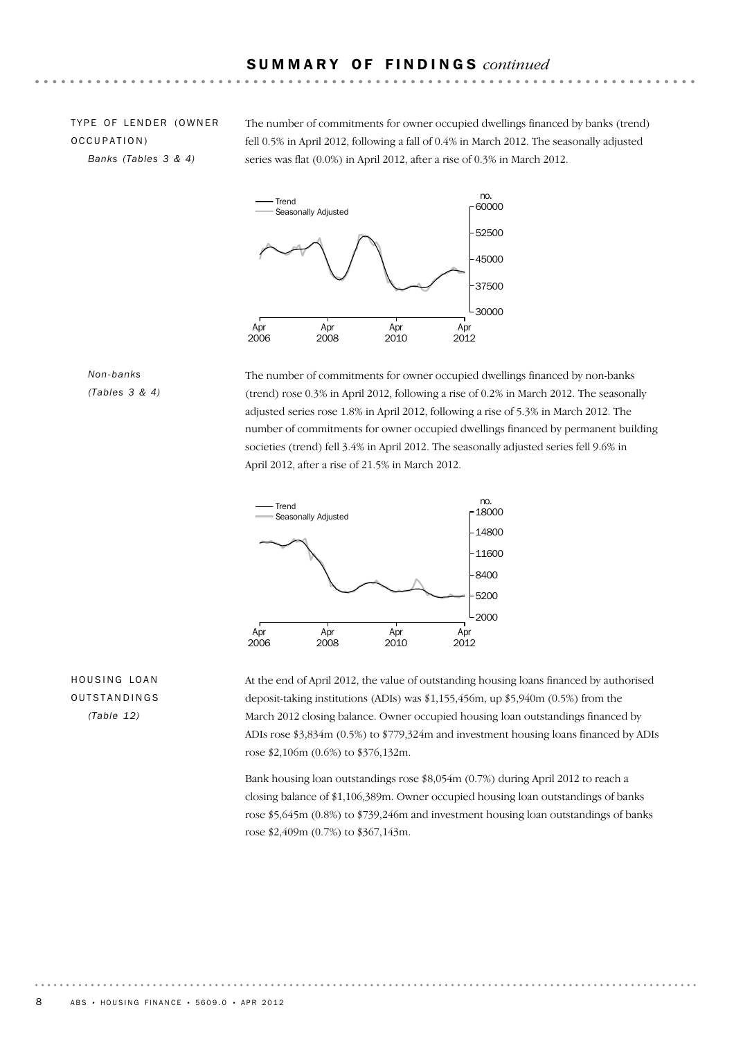### TYPE OF LENDER (OWNER OCCUPATION) *Banks (Tables 3 & 4)*

The number of commitments for owner occupied dwellings financed by banks (trend) fell 0.5% in April 2012, following a fall of 0.4% in March 2012. The seasonally adjusted series was flat (0.0%) in April 2012, after a rise of 0.3% in March 2012.



### *Non-banks (Tables 3 & 4)*

The number of commitments for owner occupied dwellings financed by non-banks (trend) rose 0.3% in April 2012, following a rise of 0.2% in March 2012. The seasonally adjusted series rose 1.8% in April 2012, following a rise of 5.3% in March 2012. The number of commitments for owner occupied dwellings financed by permanent building societies (trend) fell 3.4% in April 2012. The seasonally adjusted series fell 9.6% in April 2012, after a rise of 21.5% in March 2012.



### HOUSING LOAN **OUTSTANDINGS** *(Table 12)*

At the end of April 2012, the value of outstanding housing loans financed by authorised deposit-taking institutions (ADIs) was \$1,155,456m, up \$5,940m (0.5%) from the March 2012 closing balance. Owner occupied housing loan outstandings financed by ADIs rose \$3,834m (0.5%) to \$779,324m and investment housing loans financed by ADIs rose \$2,106m (0.6%) to \$376,132m.

Bank housing loan outstandings rose \$8,054m (0.7%) during April 2012 to reach a closing balance of \$1,106,389m. Owner occupied housing loan outstandings of banks rose \$5,645m (0.8%) to \$739,246m and investment housing loan outstandings of banks rose \$2,409m (0.7%) to \$367,143m.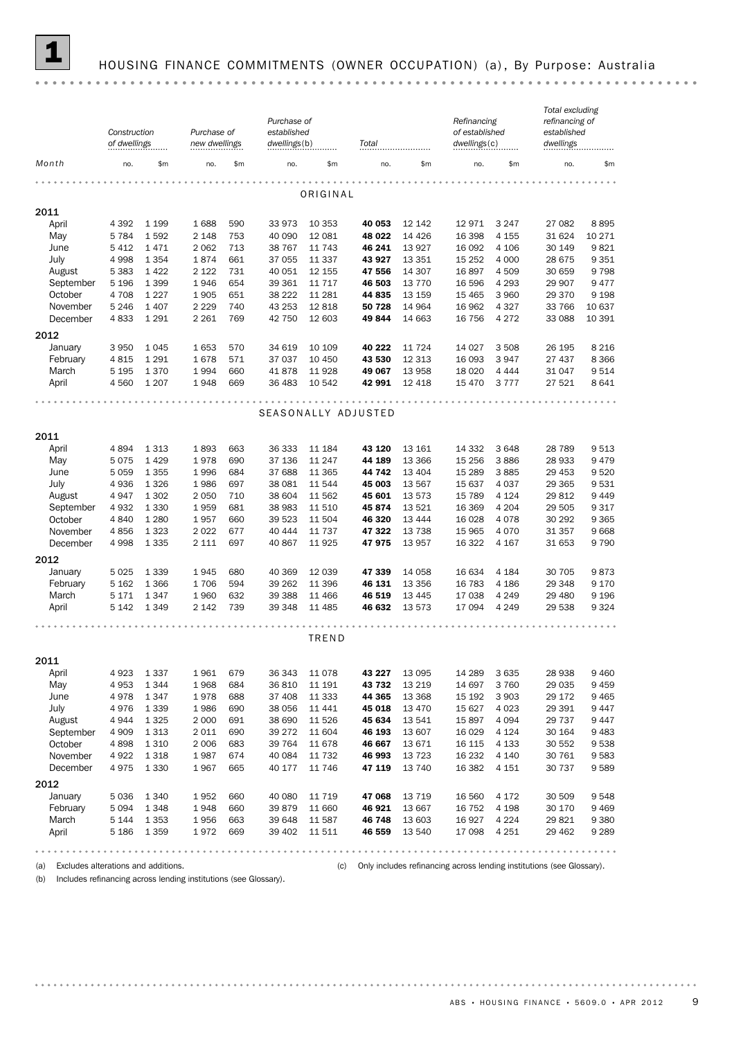

## 1 HOUSING FINANCE COMMITMENTS (OWNER OCCUPATION) (a) , By Purpose: Australia

|              | Construction<br>of dwellings |                 | Purchase of<br>new dwellings |            | Purchase of<br>established<br>dwellings(b) |                  | Total               |                   | Refinancing<br>of established<br>dwellings(c) |                    | Total excluding<br>refinancing of<br>established<br>dwellings |                |
|--------------|------------------------------|-----------------|------------------------------|------------|--------------------------------------------|------------------|---------------------|-------------------|-----------------------------------------------|--------------------|---------------------------------------------------------------|----------------|
| Month        | no.                          | \$m\$           | no.                          | \$m        | no.                                        | \$m              | no.                 | \$m               | no.                                           | \$m                | no.                                                           | \$m            |
|              |                              |                 |                              |            |                                            |                  |                     |                   |                                               |                    |                                                               |                |
|              |                              |                 |                              |            |                                            | ORIGINAL         |                     |                   |                                               |                    |                                                               |                |
| 2011         |                              |                 |                              |            |                                            |                  |                     |                   |                                               |                    |                                                               |                |
| April<br>May | 4 3 9 2<br>5 7 8 4           | 1 1 9 9<br>1592 | 1688<br>2 1 4 8              | 590<br>753 | 33973<br>40 090                            | 10 353<br>12 081 | 40 053<br>48 022    | 12 142<br>14 4 26 | 12971<br>16 398                               | 3 2 4 7<br>4 1 5 5 | 27 082<br>31 624                                              | 8895<br>10 271 |
| June         | 5 4 1 2                      | 1471            | 2 0 6 2                      | 713        | 38 767                                     | 11 743           | 46 241              | 13 9 27           | 16 092                                        | 4 10 6             | 30 149                                                        | 9821           |
| July         | 4 9 9 8                      | 1 3 5 4         | 1874                         | 661        | 37 055                                     | 11 337           | 43 927              | 13 3 5 1          | 15 2 5 2                                      | 4 0 0 0            | 28 675                                                        | 9 3 5 1        |
| August       | 5 3 8 3                      | 1422            | 2 1 2 2                      | 731        | 40 051                                     | 12 155           | 47 556              | 14 307            | 16897                                         | 4509               | 30 659                                                        | 9798           |
| September    | 5 1 9 6                      | 1 3 9 9         | 1946                         | 654        | 39 361                                     | 11 7 17          | 46 503              | 13 7 7 0          | 16 596                                        | 4 2 9 3            | 29 907                                                        | 9 4 7 7        |
| October      | 4 708                        | 1 2 2 7         | 1905                         | 651        | 38 222                                     | 11 28 1          | 44 835              | 13 15 9           | 15 4 65                                       | 3 9 6 0            | 29 370                                                        | 9 1 9 8        |
| November     | 5 2 4 6                      | 1 4 0 7         | 2 2 2 9                      | 740        | 43 253                                     | 12 8 18          | 50 728              | 14 964            | 16 962                                        | 4 3 2 7            | 33 766                                                        | 10 637         |
| December     | 4833                         | 1 2 9 1         | 2 2 6 1                      | 769        | 42 750                                     | 12 603           | 49844               | 14 663            | 16 756                                        | 4 2 7 2            | 33 088                                                        | 10 391         |
| 2012         |                              |                 |                              |            |                                            |                  |                     |                   |                                               |                    |                                                               |                |
| January      | 3 9 5 0                      | 1045            | 1653                         | 570        | 34 619                                     | 10 109           | 40 222              | 11 7 24           | 14 0 27                                       | 3 508              | 26 195                                                        | 8 2 1 6        |
| February     | 4815                         | 1 2 9 1         | 1678                         | 571        | 37 037                                     | 10 450           | 43 530              | 12 3 13           | 16 093                                        | 3947               | 27 437                                                        | 8 3 6 6        |
| March        | 5 1 9 5                      | 1370            | 1994                         | 660        | 41878                                      | 11 928           | 49 067              | 13 958            | 18 0 20                                       | 4 4 4 4            | 31 047                                                        | 9514           |
| April        | 4 5 6 0                      | 1 2 0 7         | 1948                         | 669        | 36 483                                     | 10 542           | 42 991              | 12 4 18           | 15 4 70                                       | 3 7 7 7            | 27 521                                                        | 8641           |
|              |                              |                 |                              |            |                                            |                  |                     |                   |                                               |                    |                                                               |                |
|              |                              |                 |                              |            |                                            |                  | SEASONALLY ADJUSTED |                   |                                               |                    |                                                               |                |
|              |                              |                 |                              |            |                                            |                  |                     |                   |                                               |                    |                                                               |                |
| 2011         |                              | 1 3 1 3         |                              |            |                                            |                  | 43 120              | 13 16 1           |                                               | 3 6 4 8            |                                                               | 9513           |
| April        | 4894                         | 1429            | 1893<br>1978                 | 663<br>690 | 36 333<br>37 136                           | 11 184<br>11 247 | 44 189              | 13 3 66           | 14 3 32<br>15 25 6                            | 3886               | 28 7 89<br>28 933                                             | 9479           |
| May<br>June  | 5075<br>5 0 5 9              | 1 3 5 5         | 1996                         | 684        | 37 688                                     | 11 365           | 44 742              | 13 4 04           | 15 2 89                                       | 3885               | 29 453                                                        | 9520           |
| July         | 4936                         | 1 3 2 6         | 1986                         | 697        | 38 081                                     | 11 544           | 45 003              | 13 5 67           | 15 637                                        | 4 0 3 7            | 29 3 65                                                       | 9531           |
| August       | 4947                         | 1 3 0 2         | 2 0 5 0                      | 710        | 38 604                                     | 11 562           | 45 601              | 13573             | 15 789                                        | 4 1 2 4            | 29812                                                         | 9 4 4 9        |
| September    | 4932                         | 1 3 3 0         | 1959                         | 681        | 38 983                                     | 11 510           | 45 874              | 13 5 21           | 16 369                                        | 4 2 0 4            | 29 505                                                        | 9 3 1 7        |
| October      | 4 8 4 0                      | 1 2 8 0         | 1957                         | 660        | 39 523                                     | 11 504           | 46 320              | 13 4 44           | 16 0 28                                       | 4 0 7 8            | 30 29 2                                                       | 9 3 6 5        |
| November     | 4856                         | 1 3 2 3         | 2022                         | 677        | 40 444                                     | 11 737           | 47 322              | 13 7 38           | 15 965                                        | 4 0 7 0            | 31 357                                                        | 9668           |
| December     | 4 9 9 8                      | 1 3 3 5         | 2 1 1 1                      | 697        | 40 867                                     | 11 9 25          | 47975               | 13 957            | 16 322                                        | 4 1 6 7            | 31 653                                                        | 9790           |
| 2012         |                              |                 |                              |            |                                            |                  |                     |                   |                                               |                    |                                                               |                |
| January      | 5 0 2 5                      | 1 3 3 9         | 1945                         | 680        | 40 369                                     | 12 039           | 47 339              | 14 0 58           | 16 634                                        | 4 1 8 4            | 30 705                                                        | 9873           |
| February     | 5 1 6 2                      | 1 3 6 6         | 1706                         | 594        | 39 262                                     | 11 396           | 46 131              | 13 3 5 6          | 16 783                                        | 4 1 8 6            | 29 348                                                        | 9 1 7 0        |
| March        | 5 1 7 1                      | 1347            | 1960                         | 632        | 39 388                                     | 11 466           | 46 519              | 13 4 45           | 17 038                                        | 4 2 4 9            | 29 480                                                        | 9 1 9 6        |
| April        | 5 1 4 2                      | 1 3 4 9         | 2 1 4 2                      | 739        | 39 348                                     | 11 485           | 46 632              | 13 573            | 17 094                                        | 4 2 4 9            | 29 538                                                        | 9 3 2 4        |
|              |                              |                 |                              |            |                                            |                  |                     |                   |                                               |                    |                                                               |                |
|              |                              |                 |                              |            |                                            | TREND            |                     |                   |                                               |                    |                                                               |                |
| 2011         |                              |                 |                              |            |                                            |                  |                     |                   |                                               |                    |                                                               |                |
| April        | 4923                         | 1 3 3 7         | 1961                         | 679        | 36 343                                     | 11 0 78          | 43 227              | 13 0 95           | 14 289                                        | 3 6 3 5            | 28 938                                                        | 9460           |
| May          | 4953                         | 1 3 4 4         | 1968                         | 684        | 36810                                      | 11 191           | 43 732              | 13 2 19           | 14 697                                        | 3 7 6 0            | 29 035                                                        | 9 4 5 9        |
| June         | 4978                         | 1 3 4 7         | 1978                         | 688        | 37 408                                     | 11 333           | 44 365              | 13 3 68           | 15 192                                        | 3 9 0 3            | 29 172                                                        | 9 4 6 5        |
| July         | 4976                         | 1 3 3 9         | 1986                         | 690        | 38 056                                     | 11 441           | 45 018              | 13 4 70           | 15 627                                        | 4 0 23             | 29 391                                                        | 9 4 4 7        |
| August       | 4944                         | 1 3 2 5         | 2 0 0 0                      | 691        | 38 690                                     | 11 526           | 45 634              | 13 541            | 15897                                         | 4 0 9 4            | 29 737                                                        | 9 4 4 7        |
| September    | 4 9 0 9                      | 1 3 1 3         | 2011                         | 690        | 39 27 2                                    | 11 604           | 46 193              | 13 607            | 16 0 29                                       | 4 1 2 4            | 30 164                                                        | 9 4 8 3        |
| October      | 4898                         | 1 3 1 0         | 2 0 0 6                      | 683        | 39 7 64                                    | 11 678           | 46 667              | 13 671            | 16 115                                        | 4 1 3 3            | 30 552                                                        | 9538           |
| November     | 4922                         | 1 3 1 8         | 1987                         | 674        | 40 084                                     | 11 732           | 46 993              | 13 7 23           | 16 232                                        | 4 140              | 30 761                                                        | 9583           |
| December     | 4975                         | 1 3 3 0         | 1967                         | 665        | 40 177                                     | 11 746           | 47 119              | 13 740            | 16 382                                        | 4 1 5 1            | 30 737                                                        | 9589           |
| 2012         |                              |                 |                              |            |                                            |                  |                     |                   |                                               |                    |                                                               |                |
| January      | 5 0 3 6                      | 1 3 4 0         | 1952                         | 660        | 40 080                                     | 11 7 19          | 47 068              | 13 7 19           | 16 560                                        | 4 172              | 30 509                                                        | 9548           |
| February     | 5 0 9 4                      | 1 3 4 8         | 1948                         | 660        | 39879                                      | 11 660           | 46 921              | 13 667            | 16 752                                        | 4 1 9 8            | 30 170                                                        | 9 4 6 9        |
| March        | 5 1 4 4                      | 1 3 5 3         | 1956                         | 663        | 39 648                                     | 11 587           | 46 748              | 13 603            | 16927                                         | 4 2 2 4            | 29821                                                         | 9 3 8 0        |
| April        | 5 1 8 6                      | 1 3 5 9         | 1972                         | 669        | 39 402                                     | 11 511           | 46 559              | 13 540            | 17 098                                        | 4 2 5 1            | 29 4 62                                                       | 9 2 8 9        |
|              |                              |                 |                              |            |                                            |                  |                     |                   |                                               |                    |                                                               |                |

(b) Includes refinancing across lending institutions (see Glossary).

(a) Excludes alterations and additions. (c) Only includes refinancing across lending institutions (see Glossary).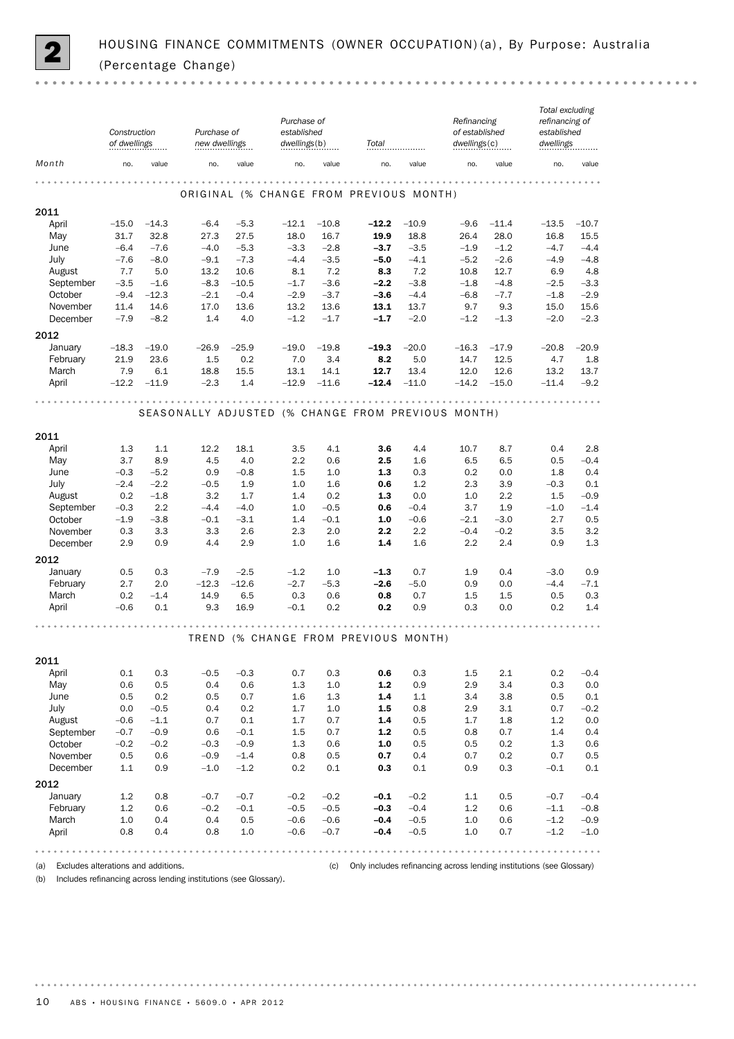

|                      | Construction<br>of dwellings |                  | Purchase of<br>new dwellings |                  | Purchase of<br>established<br>dwellings(b) |                  | Total                                              |                  | Refinancing<br>of established<br>dwellings(c)  |                  | Total excluding<br>refinancing of<br>established<br>dwellings |                  |
|----------------------|------------------------------|------------------|------------------------------|------------------|--------------------------------------------|------------------|----------------------------------------------------|------------------|------------------------------------------------|------------------|---------------------------------------------------------------|------------------|
| Month                | no.                          | value            | no.                          | value            | no.                                        | value            | no.                                                | value            | no.                                            | value            | no.                                                           | value            |
|                      |                              |                  |                              |                  |                                            |                  | ORIGINAL (% CHANGE FROM PREVIOUS MONTH)            |                  |                                                |                  |                                                               |                  |
| 2011                 |                              |                  |                              |                  |                                            |                  |                                                    |                  |                                                |                  |                                                               |                  |
| April                | $-15.0$                      | $-14.3$          | $-6.4$                       | $-5.3$           | $-12.1$                                    | $-10.8$          | $-12.2$                                            | $-10.9$          | $-9.6$                                         | $-11.4$          | $-13.5$                                                       | $-10.7$          |
| May                  | 31.7                         | 32.8             | 27.3                         | 27.5             | 18.0                                       | 16.7             | 19.9                                               | 18.8             | 26.4                                           | 28.0             | 16.8                                                          | 15.5             |
| June<br>July         | $-6.4$<br>$-7.6$             | $-7.6$<br>$-8.0$ | $-4.0$<br>$-9.1$             | $-5.3$<br>$-7.3$ | $-3.3$<br>$-4.4$                           | $-2.8$<br>$-3.5$ | $-3.7$<br>$-5.0$                                   | $-3.5$<br>$-4.1$ | $-1.9$<br>$-5.2$                               | $-1.2$<br>$-2.6$ | $-4.7$<br>$-4.9$                                              | $-4.4$<br>$-4.8$ |
| August               | 7.7                          | 5.0              | 13.2                         | 10.6             | 8.1                                        | 7.2              | 8.3                                                | 7.2              | 10.8                                           | 12.7             | 6.9                                                           | 4.8              |
| September            | $-3.5$                       | $-1.6$           | $-8.3$                       | $-10.5$          | $-1.7$                                     | $-3.6$           | $-2.2$                                             | $-3.8$           | $-1.8$                                         | $-4.8$           | $-2.5$                                                        | $-3.3$           |
| October              | $-9.4$                       | $-12.3$          | $-2.1$                       | $-0.4$           | $-2.9$                                     | $-3.7$           | $-3.6$                                             | $-4.4$           | $-6.8$                                         | $-7.7$           | $-1.8$                                                        | $-2.9$           |
| November             | 11.4                         | 14.6             | 17.0                         | 13.6             | 13.2                                       | 13.6             | 13.1                                               | 13.7             | 9.7                                            | 9.3              | 15.0                                                          | 15.6             |
| December             | $-7.9$                       | $-8.2$           | 1.4                          | 4.0              | $-1.2$                                     | $-1.7$           | $-1.7$                                             | $-2.0$           | $-1.2$                                         | $-1.3$           | $-2.0$                                                        | $-2.3$           |
| 2012                 |                              |                  |                              |                  |                                            |                  |                                                    |                  |                                                |                  |                                                               |                  |
| January              | $-18.3$                      | $-19.0$          | $-26.9$                      | $-25.9$          | $-19.0$                                    | $-19.8$          | $-19.3$                                            | $-20.0$          | $-16.3$                                        | $-17.9$          | $-20.8$                                                       | $-20.9$          |
| February             | 21.9                         | 23.6             | 1.5                          | 0.2              | 7.0                                        | 3.4              | 8.2                                                | 5.0              | 14.7                                           | 12.5             | 4.7                                                           | 1.8              |
| March                | 7.9                          | 6.1              | 18.8                         | 15.5             | 13.1                                       | 14.1             | 12.7                                               | 13.4             | 12.0                                           | 12.6             | 13.2                                                          | 13.7             |
| April                | $-12.2$                      | $-11.9$          | $-2.3$                       | 1.4              | $-12.9$                                    | $-11.6$          | $-12.4$                                            | $-11.0$          | $-14.2$                                        | $-15.0$          | $-11.4$                                                       | $-9.2$           |
|                      |                              |                  |                              |                  | .                                          |                  | SEASONALLY ADJUSTED (% CHANGE FROM PREVIOUS MONTH) |                  |                                                | .                |                                                               |                  |
|                      |                              |                  |                              |                  |                                            |                  |                                                    |                  |                                                |                  |                                                               |                  |
| 2011                 |                              |                  |                              |                  |                                            |                  |                                                    |                  |                                                |                  |                                                               |                  |
| April                | 1.3<br>3.7                   | 1.1<br>8.9       | 12.2<br>4.5                  | 18.1<br>4.0      | 3.5<br>2.2                                 | 4.1<br>0.6       | 3.6<br>2.5                                         | 4.4<br>1.6       | 10.7<br>6.5                                    | 8.7<br>6.5       | 0.4<br>0.5                                                    | 2.8<br>$-0.4$    |
| May<br>June          | $-0.3$                       | $-5.2$           | 0.9                          | $-0.8$           | 1.5                                        | 1.0              | 1.3                                                | 0.3              | 0.2                                            | 0.0              | 1.8                                                           | 0.4              |
| July                 | $-2.4$                       | $-2.2$           | $-0.5$                       | 1.9              | 1.0                                        | 1.6              | 0.6                                                | 1.2              | 2.3                                            | 3.9              | $-0.3$                                                        | 0.1              |
| August               | 0.2                          | $-1.8$           | 3.2                          | 1.7              | 1.4                                        | 0.2              | 1.3                                                | 0.0              | 1.0                                            | 2.2              | 1.5                                                           | $-0.9$           |
| September            | $-0.3$                       | 2.2              | $-4.4$                       | $-4.0$           | 1.0                                        | $-0.5$           | 0.6                                                | $-0.4$           | 3.7                                            | 1.9              | $-1.0$                                                        | $-1.4$           |
| October              | $-1.9$                       | $-3.8$           | $-0.1$                       | $-3.1$           | 1.4                                        | $-0.1$           | 1.0                                                | $-0.6$           | $-2.1$                                         | $-3.0$           | 2.7                                                           | 0.5              |
| November             | 0.3                          | 3.3              | 3.3                          | 2.6              | 2.3                                        | 2.0              | 2.2                                                | 2.2              | $-0.4$                                         | $-0.2$           | 3.5                                                           | 3.2              |
| December             | 2.9                          | 0.9              | 4.4                          | 2.9              | 1.0                                        | 1.6              | 1.4                                                | 1.6              | 2.2                                            | 2.4              | 0.9                                                           | 1.3              |
| 2012                 |                              |                  |                              |                  |                                            |                  |                                                    |                  |                                                |                  |                                                               |                  |
| January              | 0.5                          | 0.3              | $-7.9$                       | $-2.5$           | $-1.2$                                     | 1.0              | $-1.3$                                             | 0.7              | 1.9                                            | 0.4              | $-3.0$                                                        | 0.9              |
| February             | 2.7                          | 2.0              | $-12.3$                      | $-12.6$          | $-2.7$                                     | $-5.3$           | $-2.6$                                             | $-5.0$           | 0.9                                            | 0.0              | $-4.4$                                                        | $-7.1$           |
| March                | 0.2                          | $-1.4$           | 14.9                         | 6.5              | 0.3                                        | 0.6              | 0.8                                                | 0.7              | 1.5                                            | 1.5              | 0.5                                                           | 0.3              |
| April                | $-0.6$                       | 0.1              | 9.3                          | 16.9             | $-0.1$                                     | 0.2              | 0.2                                                | 0.9              | 0.3                                            | 0.0              | 0.2                                                           | 1.4              |
|                      |                              |                  |                              |                  |                                            |                  | TREND (% CHANGE FROM PREVIOUS MONTH)               |                  | $\mathbf{a} \cdot \mathbf{a} \cdot \mathbf{a}$ |                  |                                                               |                  |
| 2011                 |                              |                  |                              |                  |                                            |                  |                                                    |                  |                                                |                  |                                                               |                  |
| April                | 0.1                          | 0.3              | $-0.5$                       | $-0.3$           | 0.7                                        | 0.3              | 0.6                                                | 0.3              | 1.5                                            | 2.1              | 0.2                                                           | $-0.4$           |
| May                  | 0.6                          | 0.5              | 0.4                          | 0.6              | 1.3                                        | $1.0\,$          | $1.2$                                              | 0.9              | 2.9                                            | 3.4              | 0.3                                                           | 0.0              |
| June                 | 0.5                          | 0.2              | 0.5                          | 0.7              | 1.6                                        | 1.3              | 1.4                                                | 1.1              | 3.4                                            | 3.8              | 0.5                                                           | 0.1              |
| July                 | 0.0                          | $-0.5$           | 0.4                          | 0.2              | 1.7                                        | 1.0              | 1.5                                                | 0.8              | 2.9                                            | 3.1              | 0.7                                                           | $-0.2$           |
| August               | $-0.6$                       | $-1.1$           | 0.7                          | 0.1              | 1.7                                        | 0.7              | 1.4                                                | 0.5              | 1.7                                            | 1.8              | 1.2                                                           | 0.0              |
| September            | $-0.7$                       | $-0.9$           | 0.6                          | $-0.1$           | 1.5                                        | 0.7              | $1.2$                                              | 0.5              | 0.8                                            | 0.7              | 1.4                                                           | 0.4              |
| October              | $-0.2$                       | $-0.2$           | $-0.3$                       | $-0.9$           | 1.3                                        | 0.6              | 1.0                                                | 0.5              | 0.5                                            | 0.2              | 1.3                                                           | 0.6              |
| November<br>December | 0.5                          | 0.6              | $-0.9$                       | $-1.4$           | 0.8                                        | 0.5              | 0.7                                                | 0.4              | 0.7                                            | 0.2              | 0.7                                                           | 0.5              |
| 2012                 | $1.1\,$                      | 0.9              | $-1.0$                       | $-1.2$           | 0.2                                        | 0.1              | 0.3                                                | $0.1\,$          | 0.9                                            | 0.3              | $-0.1$                                                        | 0.1              |
| January              | 1.2                          | 0.8              |                              |                  |                                            |                  |                                                    | $-0.2$           |                                                |                  |                                                               |                  |
| February             | 1.2                          | 0.6              | $-0.7$<br>$-0.2$             | $-0.7$<br>$-0.1$ | $-0.2$<br>$-0.5$                           | $-0.2$<br>$-0.5$ | $-0.1$<br>$-0.3$                                   | $-0.4$           | 1.1<br>$1.2\,$                                 | 0.5<br>0.6       | $-0.7$<br>$-1.1$                                              | $-0.4$<br>$-0.8$ |
| March                | 1.0                          | 0.4              | 0.4                          | 0.5              | $-0.6$                                     | $-0.6$           | $-0.4$                                             | $-0.5$           | 1.0                                            | 0.6              | $-1.2$                                                        | $-0.9$           |
| April                | 0.8                          | 0.4              | 0.8                          | 1.0              | $-0.6$                                     | $-0.7$           | $-0.4$                                             | $-0.5$           | 1.0                                            | 0.7              | $-1.2$                                                        | $-1.0$           |
|                      |                              |                  |                              |                  |                                            |                  |                                                    |                  |                                                |                  |                                                               |                  |

(a) Excludes alterations and additions. (c) Only includes refinancing across lending institutions (see Glossary)

(b) Includes refinancing across lending institutions (see Glossary).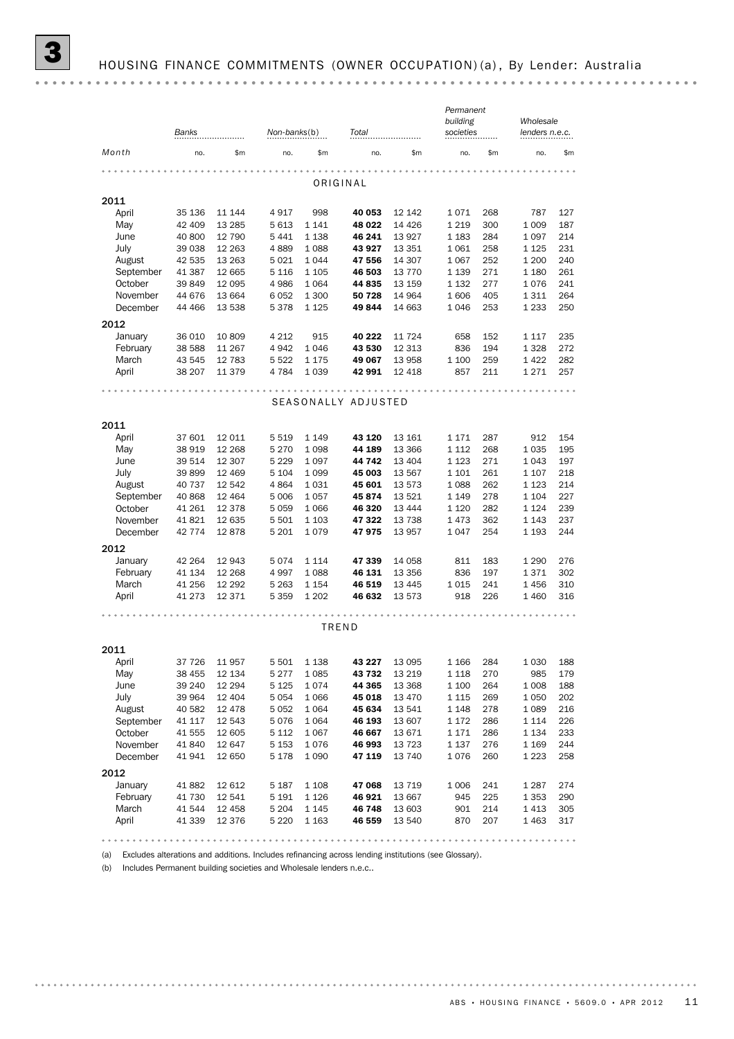*Permanent*

|           | Banks    |         | Non-banks(b) |         | Total               |          | building<br>societies |     | Wholesale<br>lenders n.e.c. |     |
|-----------|----------|---------|--------------|---------|---------------------|----------|-----------------------|-----|-----------------------------|-----|
| Month     | no.      | \$m\$   | no.          | \$m     | no.                 | \$m      | no.                   | \$m | no.                         | \$m |
|           |          |         |              |         |                     |          |                       |     |                             |     |
|           |          |         |              |         | ORIGINAL            |          |                       |     |                             |     |
| 2011      |          |         |              |         |                     |          |                       |     |                             |     |
| April     | 35 136   | 11 144  | 4917         | 998     | 40 053              | 12 142   | 1071                  | 268 | 787                         | 127 |
| May       | 42 409   | 13 2 85 | 5 6 1 3      | 1 1 4 1 | 48 022              | 14 4 26  | 1 2 1 9               | 300 | 1 0 0 9                     | 187 |
| June      | 40 800   | 12 790  | 5441         | 1 1 3 8 | 46 241              | 13927    | 1 1 8 3               | 284 | 1 0 9 7                     | 214 |
| July      | 39 038   | 12 2 63 | 4889         | 1088    | 43 927              | 13 351   | 1 0 6 1               | 258 | 1 1 2 5                     | 231 |
| August    | 42 535   | 13 2 63 | 5 0 2 1      | 1044    | 47 556              | 14 307   | 1 0 6 7               | 252 | 1 200                       | 240 |
| September | 41 387   | 12 665  | 5 1 1 6      | 1 1 0 5 | 46 503              | 13 7 7 0 | 1 1 3 9               | 271 | 1 1 8 0                     | 261 |
| October   | 39 849   | 12 0 95 | 4 9 8 6      | 1 0 6 4 | 44 835              | 13 159   | 1 1 3 2               | 277 | 1076                        | 241 |
| November  | 44 676   | 13 664  | 6 0 5 2      | 1 300   | 50 728              | 14 9 64  | 1606                  | 405 | 1 3 1 1                     | 264 |
| December  | 44 4 66  | 13 538  | 5378         | 1 1 2 5 | 49 844              | 14 663   | 1 0 4 6               | 253 | 1 2 3 3                     | 250 |
| 2012      |          |         |              |         |                     |          |                       |     |                             |     |
| January   | 36 010   | 10 809  | 4 2 1 2      | 915     | 40 222              | 11 7 24  | 658                   | 152 | 1 1 1 7                     | 235 |
| February  | 38 588   | 11 267  | 4 9 4 2      | 1046    | 43 530              | 12 3 13  | 836                   | 194 | 1 3 2 8                     | 272 |
| March     | 43 545   | 12 783  | 5 5 2 2      | 1 1 7 5 | 49 067              | 13 958   | 1 100                 | 259 | 1422                        | 282 |
| April     | 38 207   | 11 379  | 4 7 8 4      | 1 0 3 9 | 42 991              | 12 4 18  | 857                   | 211 | 1 2 7 1                     | 257 |
|           |          |         |              |         |                     |          |                       |     |                             |     |
|           |          |         |              |         | SEASONALLY ADJUSTED |          |                       |     |                             |     |
|           |          |         |              |         |                     |          |                       |     |                             |     |
| 2011      |          |         |              |         |                     |          |                       |     |                             |     |
| April     | 37 601   | 12 011  | 5 5 1 9      | 1 1 4 9 | 43 120              | 13 161   | 1 1 7 1               | 287 | 912                         | 154 |
| May       | 38 919   | 12 2 68 | 5 2 7 0      | 1 0 9 8 | 44 189              | 13 3 66  | 1 1 1 2               | 268 | 1 0 3 5                     | 195 |
| June      | 39 514   | 12 307  | 5 2 2 9      | 1 0 9 7 | 44 742              | 13 4 04  | 1 1 2 3               | 271 | 1 0 4 3                     | 197 |
| July      | 39 899   | 12 4 69 | 5 1 0 4      | 1 0 9 9 | 45 003              | 13 567   | 1 1 0 1               | 261 | 1 1 0 7                     | 218 |
| August    | 40 737   | 12 542  | 4864         | 1031    | 45 601              | 13 573   | 1 0 8 8               | 262 | 1 1 2 3                     | 214 |
| September | 40 868   | 12 4 64 | 5 0 0 6      | 1 0 5 7 | 45 874              | 13 5 21  | 1 1 4 9               | 278 | 1 1 0 4                     | 227 |
| October   | 41 261   | 12 3 78 | 5 0 5 9      | 1 0 6 6 | 46 320              | 13 4 44  | 1 1 2 0               | 282 | 1 1 2 4                     | 239 |
| November  | 41821    | 12 635  | 5 5 0 1      | 1 1 0 3 | 47 322              | 13738    | 1473                  | 362 | 1 1 4 3                     | 237 |
| December  | 42 7 7 4 | 12878   | 5 2 0 1      | 1079    | 47975               | 13 957   | 1 0 4 7               | 254 | 1 1 9 3                     | 244 |
| 2012      |          |         |              |         |                     |          |                       |     |                             |     |
| January   | 42 2 64  | 12 943  | 5074         | 1 1 1 4 | 47 339              | 14 0 58  | 811                   | 183 | 1 2 9 0                     | 276 |
| February  | 41 134   | 12 2 68 | 4997         | 1088    | 46 131              | 13 356   | 836                   | 197 | 1371                        | 302 |
| March     | 41 256   | 12 29 2 | 5 2 6 3      | 1 1 5 4 | 46 519              | 13 4 45  | 1 0 1 5               | 241 | 1456                        | 310 |
| April     | 41 273   | 12 371  | 5 3 5 9      | 1 2 0 2 | 46 632              | 13 573   | 918                   | 226 | 1 4 6 0                     | 316 |
|           |          |         |              | .       |                     |          |                       |     |                             |     |
|           |          |         |              |         | TREND               |          |                       |     |                             |     |
|           |          |         |              |         |                     |          |                       |     |                             |     |
| 2011      |          |         |              |         |                     |          |                       |     |                             |     |
| April     | 37 7 26  | 11 957  | 5 501        | 1 1 3 8 | 43 227              | 13 0 95  | 1 1 6 6               | 284 | 1 0 3 0                     | 188 |
| May       | 38 455   | 12 134  | 5277         | 1085    | 43 732              | 13 219   | 1 118                 | 270 | 985                         | 179 |
| June      | 39 240   | 12 294  | 5 1 2 5      | 1074    | 44 365              | 13 3 68  | 1 100                 | 264 | 1 0 0 8                     | 188 |
| July      | 39 964   | 12 4 04 | 5 0 5 4      | 1 0 6 6 | 45 018              | 13 4 70  | 1 1 1 5               | 269 | 1 0 5 0                     | 202 |
| August    | 40 582   | 12 4 78 | 5 0 5 2      | 1 0 6 4 | 45 634              | 13 541   | 1 1 4 8               | 278 | 1 0 8 9                     | 216 |
| September | 41 117   | 12 543  | 5076         | 1 0 6 4 | 46 193              | 13 607   | 1 1 7 2               | 286 | 1 1 1 4                     | 226 |
| October   | 41 555   | 12 605  | 5 1 1 2      | 1 0 6 7 | 46 667              | 13 671   | 1 1 7 1               | 286 | 1 1 3 4                     | 233 |
| November  | 41 840   | 12 647  | 5 1 5 3      | 1076    | 46 993              | 13723    | 1 1 3 7               | 276 | 1 1 6 9                     | 244 |
| December  | 41941    | 12 650  | 5 1 7 8      | 1 0 9 0 | 47 119              | 13 740   | 1076                  | 260 | 1 2 2 3                     | 258 |
| 2012      |          |         |              |         |                     |          |                       |     |                             |     |
| January   | 41 882   | 12 612  | 5 1 8 7      | 1 1 0 8 | 47 068              | 13 7 19  | 1 0 0 6               | 241 | 1 2 8 7                     | 274 |
| February  | 41 730   | 12 541  | 5 1 9 1      | 1 1 2 6 | 46 921              | 13 667   | 945                   | 225 | 1 3 5 3                     | 290 |
| March     | 41 544   | 12 458  | 5 2 0 4      | 1 1 4 5 | 46 748              | 13 603   | 901                   | 214 | 1413                        | 305 |
|           |          | 12 376  | 5 2 2 0      | 1 1 6 3 | 46 559              | 13 540   | 870                   | 207 | 1463                        | 317 |

(b) Includes Permanent building societies and Wholesale lenders n.e.c..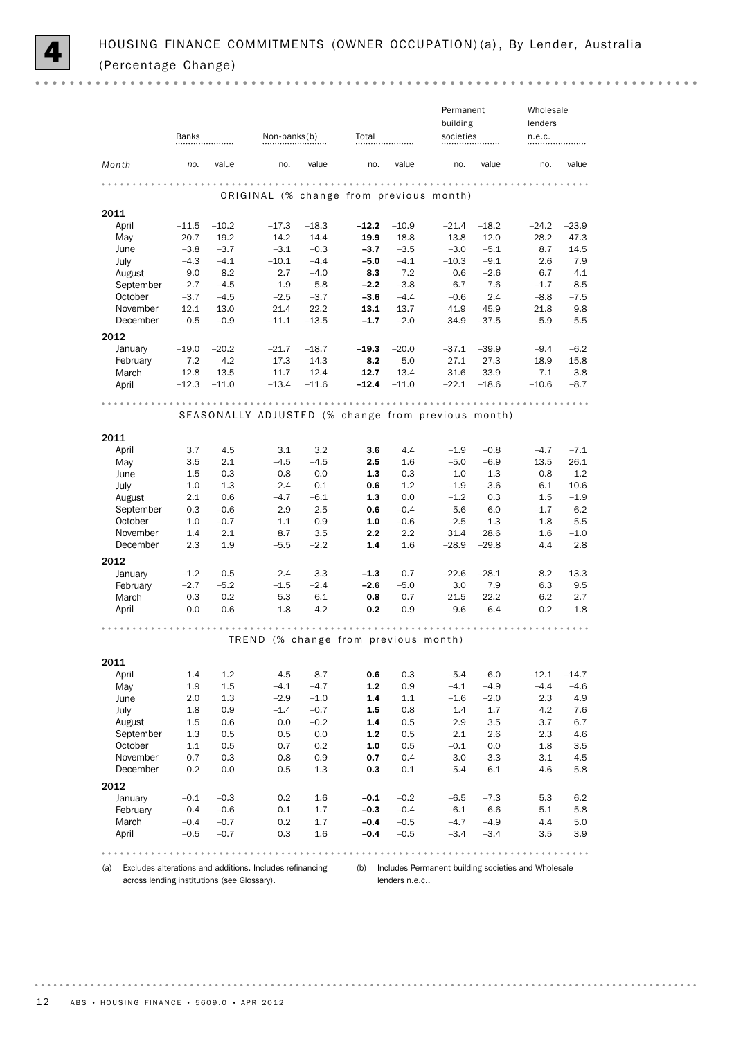

 $0.000$ 

|                                                                                                                         |                  |                  |                                                    |                 |                       |                  | Permanent        |                  | Wholesale      |               |
|-------------------------------------------------------------------------------------------------------------------------|------------------|------------------|----------------------------------------------------|-----------------|-----------------------|------------------|------------------|------------------|----------------|---------------|
|                                                                                                                         |                  |                  |                                                    |                 |                       |                  | building         |                  | lenders        |               |
|                                                                                                                         | Banks            |                  | Non-banks(b)                                       |                 | Total                 |                  | societies        |                  | n.e.c.         |               |
| Month                                                                                                                   | no.              | value            | no.                                                | value           | no.                   | value            | no.              | value            | no.            | value         |
|                                                                                                                         |                  |                  |                                                    |                 |                       |                  |                  |                  |                |               |
|                                                                                                                         |                  |                  | ORIGINAL (% change from previous month)            |                 |                       |                  |                  |                  |                |               |
| 2011                                                                                                                    |                  |                  |                                                    |                 |                       |                  |                  |                  |                |               |
| April                                                                                                                   | $-11.5$          | $-10.2$          | $-17.3$                                            | $-18.3$         | $-12.2$               | $-10.9$          | $-21.4$          | $-18.2$          | $-24.2$        | $-23.9$       |
| May                                                                                                                     | 20.7             | 19.2             | 14.2                                               | 14.4            | 19.9                  | 18.8             | 13.8             | 12.0             | 28.2           | 47.3          |
| June                                                                                                                    | $-3.8$           | $-3.7$           | $-3.1$                                             | $-0.3$          | $-3.7$                | $-3.5$           | $-3.0$           | $-5.1$           | 8.7            | 14.5          |
| July                                                                                                                    | $-4.3$           | $-4.1$           | $-10.1$                                            | $-4.4$          | $-5.0$                | $-4.1$           | $-10.3$          | $-9.1$           | 2.6            | 7.9           |
| August                                                                                                                  | 9.0              | 8.2              | 2.7                                                | $-4.0$          | 8.3                   | 7.2              | 0.6              | $-2.6$           | 6.7            | 4.1           |
| September                                                                                                               | $-2.7$           | $-4.5$           | 1.9                                                | 5.8             | $-2.2$                | $-3.8$           | 6.7              | 7.6              | $-1.7$         | 8.5           |
| October<br>November                                                                                                     | $-3.7$           | $-4.5$           | $-2.5$                                             | $-3.7$          | $-3.6$                | $-4.4$           | $-0.6$           | 2.4<br>45.9      | $-8.8$         | $-7.5$<br>9.8 |
| December                                                                                                                | 12.1<br>$-0.5$   | 13.0<br>$-0.9$   | 21.4<br>$-11.1$                                    | 22.2<br>$-13.5$ | 13.1<br>$-1.7$        | 13.7<br>$-2.0$   | 41.9<br>$-34.9$  | $-37.5$          | 21.8<br>$-5.9$ | $-5.5$        |
|                                                                                                                         |                  |                  |                                                    |                 |                       |                  |                  |                  |                |               |
| 2012                                                                                                                    |                  |                  |                                                    |                 |                       |                  |                  |                  |                |               |
| January                                                                                                                 | $-19.0$          | $-20.2$          | $-21.7$                                            | $-18.7$         | $-19.3$               | $-20.0$          | $-37.1$          | $-39.9$          | $-9.4$         | $-6.2$        |
| February                                                                                                                | 7.2              | 4.2              | 17.3                                               | 14.3            | 8.2                   | 5.0              | 27.1             | 27.3             | 18.9           | 15.8          |
| March                                                                                                                   | 12.8<br>$-12.3$  | 13.5<br>$-11.0$  | 11.7<br>$-13.4$                                    | 12.4<br>$-11.6$ | 12.7<br>$-12.4$       | 13.4<br>$-11.0$  | 31.6<br>$-22.1$  | 33.9<br>$-18.6$  | 7.1<br>$-10.6$ | 3.8<br>$-8.7$ |
| April                                                                                                                   |                  |                  |                                                    |                 |                       |                  |                  |                  |                |               |
|                                                                                                                         |                  |                  |                                                    |                 |                       |                  |                  |                  |                |               |
|                                                                                                                         |                  |                  | SEASONALLY ADJUSTED (% change from previous month) |                 |                       |                  |                  |                  |                |               |
|                                                                                                                         |                  |                  |                                                    |                 |                       |                  |                  |                  |                |               |
| 2011                                                                                                                    |                  |                  |                                                    |                 |                       | 4.4              |                  |                  |                |               |
| April                                                                                                                   | 3.7              | 4.5<br>2.1       | 3.1                                                | 3.2<br>$-4.5$   | 3.6<br>$2.5\,$        |                  | $-1.9$<br>$-5.0$ | $-0.8$           | $-4.7$         | $-7.1$        |
| May<br>June                                                                                                             | 3.5<br>1.5       | 0.3              | $-4.5$<br>$-0.8$                                   | 0.0             | 1.3                   | 1.6<br>0.3       | 1.0              | $-6.9$<br>1.3    | 13.5<br>0.8    | 26.1<br>1.2   |
| July                                                                                                                    | 1.0              | 1.3              | $-2.4$                                             | 0.1             | 0.6                   | 1.2              | $-1.9$           | $-3.6$           | 6.1            | 10.6          |
| August                                                                                                                  | $2.1\,$          | 0.6              | $-4.7$                                             | $-6.1$          | 1.3                   | 0.0              | $-1.2$           | 0.3              | 1.5            | $-1.9$        |
| September                                                                                                               | 0.3              | $-0.6$           | 2.9                                                | 2.5             | 0.6                   | $-0.4$           | 5.6              | 6.0              | $-1.7$         | 6.2           |
| October                                                                                                                 | 1.0              | $-0.7$           | 1.1                                                | 0.9             | 1.0                   | $-0.6$           | $-2.5$           | 1.3              | 1.8            | 5.5           |
| November                                                                                                                | 1.4              | 2.1              | 8.7                                                | 3.5             | 2.2                   | 2.2              | 31.4             | 28.6             | 1.6            | $-1.0$        |
| December                                                                                                                | 2.3              | 1.9              | $-5.5$                                             | $-2.2$          | 1.4                   | 1.6              | $-28.9$          | $-29.8$          | 4.4            | 2.8           |
| 2012                                                                                                                    |                  |                  |                                                    |                 |                       |                  |                  |                  |                |               |
| January                                                                                                                 | $-1.2$           | 0.5              | $-2.4$                                             | 3.3             | $-1.3$                | 0.7              | $-22.6$          | $-28.1$          | 8.2            | 13.3          |
| February                                                                                                                | $-2.7$           | $-5.2$           | $-1.5$                                             | $-2.4$          | -2.6                  | $-5.0$           | 3.0              | 7.9              | 6.3            | 9.5           |
| March                                                                                                                   | 0.3              | 0.2              | 5.3                                                | 6.1             | 0.8                   | 0.7              | 21.5             | 22.2             | 6.2            | 2.7           |
| April                                                                                                                   | 0.0              | 0.6              | 1.8                                                | 4.2             | 0.2                   | 0.9              | $-9.6$           | $-6.4$           | 0.2            | 1.8           |
|                                                                                                                         |                  |                  |                                                    |                 |                       |                  |                  |                  |                |               |
|                                                                                                                         |                  |                  | TREND (% change from previous month)               |                 |                       |                  |                  |                  |                |               |
|                                                                                                                         |                  |                  |                                                    |                 |                       |                  |                  |                  |                |               |
| 2011                                                                                                                    |                  |                  |                                                    |                 |                       |                  |                  |                  |                |               |
| April                                                                                                                   | 1.4              | 1.2              | $-4.5$                                             | $-8.7$          | 0.6                   | 0.3              | $-5.4$           | $-6.0$           | $-12.1$        | $-14.7$       |
| May                                                                                                                     | 1.9              | $1.5\,$          | $-4.1$                                             | $-4.7$          | $1.2\,$               | 0.9              | $-4.1$           | $-4.9$           | $-4.4$         | $-4.6$        |
| June                                                                                                                    | 2.0              | 1.3              | $-2.9$                                             | $-1.0$          | 1.4                   | 1.1              | $-1.6$           | $-2.0$           | 2.3            | 4.9           |
| July                                                                                                                    | 1.8              | 0.9              | $-1.4$                                             | $-0.7$          | 1.5                   | 0.8              | 1.4              | 1.7              | 4.2            | 7.6           |
| August                                                                                                                  | $1.5\,$          | 0.6              | 0.0                                                | $-0.2$          | 1.4                   | 0.5              | 2.9              | 3.5              | 3.7            | 6.7           |
| September<br>October                                                                                                    | 1.3<br>1.1       | 0.5<br>0.5       | 0.5<br>0.7                                         | 0.0<br>0.2      | $\mathbf{1.2}$<br>1.0 | 0.5<br>0.5       | 2.1<br>$-0.1$    | 2.6<br>0.0       | 2.3<br>1.8     | 4.6<br>3.5    |
| November                                                                                                                | 0.7              | 0.3              | 0.8                                                | 0.9             | 0.7                   | 0.4              | $-3.0$           | $-3.3$           | 3.1            | 4.5           |
| December                                                                                                                | 0.2              | 0.0              | 0.5                                                | 1.3             | 0.3                   | 0.1              | $-5.4$           | $-6.1$           | 4.6            | 5.8           |
|                                                                                                                         |                  |                  |                                                    |                 |                       |                  |                  |                  |                |               |
| 2012                                                                                                                    |                  |                  |                                                    |                 |                       |                  |                  |                  |                |               |
| January                                                                                                                 | $-0.1$           | $-0.3$           | 0.2                                                | 1.6             | $-0.1$<br>$-0.3$      | $-0.2$           | $-6.5$           | $-7.3$           | 5.3            | 6.2           |
| February<br>March                                                                                                       | $-0.4$<br>$-0.4$ | $-0.6$<br>$-0.7$ | 0.1<br>0.2                                         | 1.7<br>1.7      | $-0.4$                | $-0.4$<br>$-0.5$ | $-6.1$<br>$-4.7$ | $-6.6$<br>$-4.9$ | 5.1<br>4.4     | 5.8<br>5.0    |
| April                                                                                                                   | $-0.5$           | $-0.7$           | 0.3                                                | 1.6             | $-0.4$                | $-0.5$           | $-3.4$           | $-3.4$           | 3.5            | 3.9           |
|                                                                                                                         |                  |                  |                                                    |                 |                       |                  |                  |                  |                |               |
| Excludes alterations and additions. Includes refinancing (b) Includes Permanent building societies and Wholesale<br>(a) |                  |                  |                                                    |                 |                       |                  |                  |                  |                |               |

across lending institutions (see Glossary).

lenders n.e.c..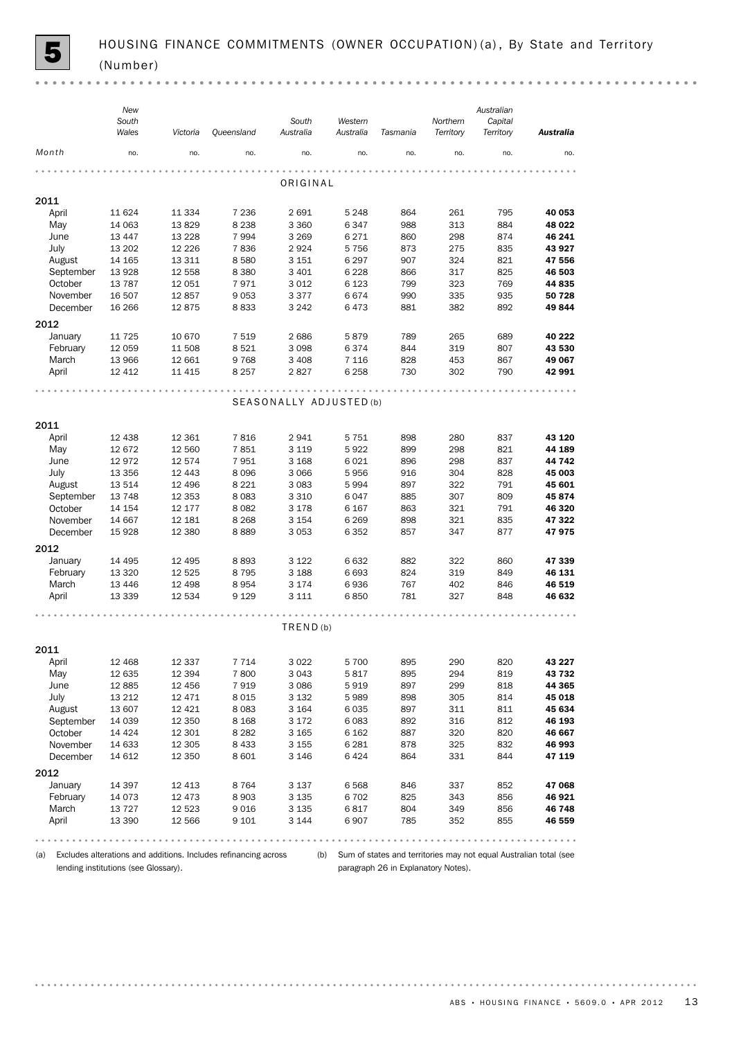(a) Excludes alterations and additions. Includes refinancing across lending institutions (see Glossary).

(b) Sum of states and territories may not equal Australian total (see paragraph 26 in Explanatory Notes).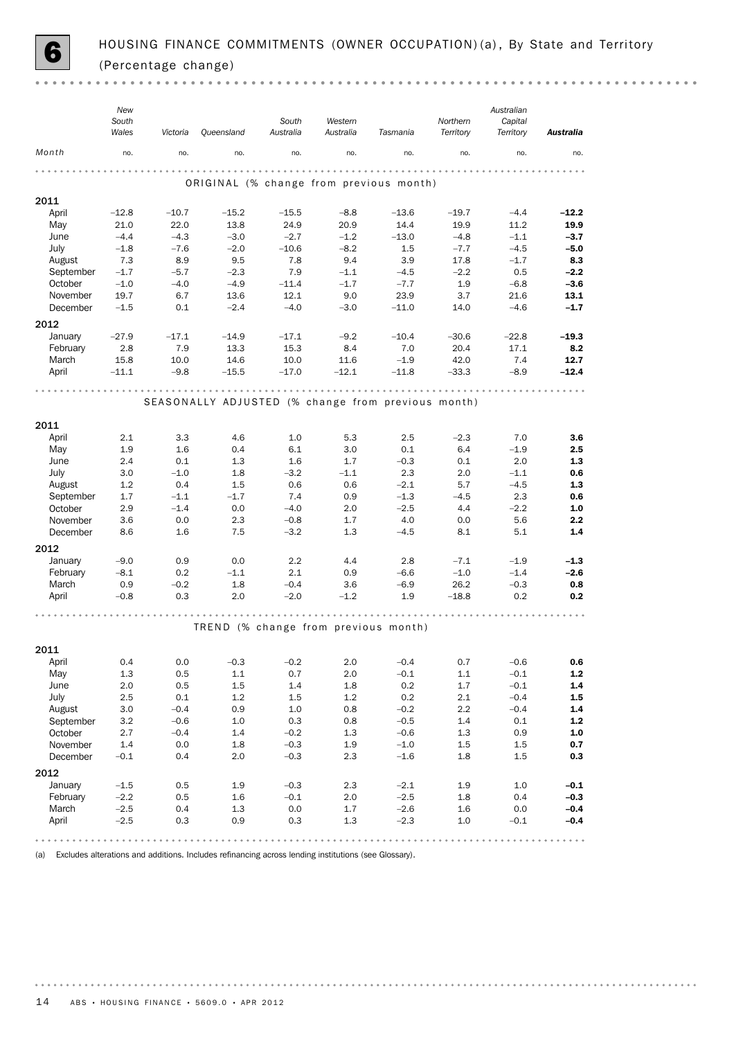

 $\sim$   $\sim$ 

|           | New<br>South<br>Wales | Victoria   | Queensland | South<br>Australia | Western<br>Australia | Tasmania                                           | Northern<br>Territory | Australian<br>Capital<br>Territory | <b>Australia</b> |
|-----------|-----------------------|------------|------------|--------------------|----------------------|----------------------------------------------------|-----------------------|------------------------------------|------------------|
| Month     | no.                   | no.        | no.        | no.                | no.                  | no.                                                | no.                   | no.                                | no.              |
|           |                       |            |            |                    |                      | ORIGINAL (% change from previous month)            |                       |                                    |                  |
| 2011      |                       |            |            |                    |                      |                                                    |                       |                                    |                  |
| April     | $-12.8$               | $-10.7$    | $-15.2$    | $-15.5$            | $-8.8$               | $-13.6$                                            | $-19.7$               | $-4.4$                             | $-12.2$          |
| May       | 21.0                  | 22.0       | 13.8       | 24.9               | 20.9                 | 14.4                                               | 19.9                  | 11.2                               | 19.9             |
| June      | $-4.4$                | $-4.3$     | $-3.0$     | $-2.7$             | $-1.2$               | $-13.0$                                            | $-4.8$                | $-1.1$                             | $-3.7$           |
| July      | $-1.8$                | $-7.6$     | $-2.0$     | $-10.6$            | $-8.2$               | 1.5                                                | $-7.7$                | $-4.5$                             | $-5.0$           |
| August    | 7.3                   | 8.9        | 9.5        | 7.8                | 9.4                  | 3.9                                                | 17.8                  | $-1.7$                             | 8.3              |
| September | $-1.7$                | $-5.7$     | $-2.3$     | 7.9                | $-1.1$               | $-4.5$                                             | $-2.2$                | 0.5                                | $-2.2$           |
| October   | $-1.0$                | $-4.0$     | $-4.9$     | $-11.4$            | $-1.7$               | $-7.7$                                             | 1.9                   | $-6.8$                             | $-3.6$           |
| November  | 19.7                  | 6.7        | 13.6       | 12.1               | 9.0                  | 23.9                                               | 3.7                   | 21.6                               | 13.1             |
| December  | $-1.5$                | 0.1        | $-2.4$     | $-4.0$             | $-3.0$               | $-11.0$                                            | 14.0                  | $-4.6$                             | $-1.7$           |
| 2012      |                       |            |            |                    |                      |                                                    |                       |                                    |                  |
| January   | $-27.9$               | $-17.1$    | $-14.9$    | $-17.1$            | $-9.2$               | $-10.4$                                            | $-30.6$               | $-22.8$                            | $-19.3$          |
| February  | 2.8                   | 7.9        | 13.3       | 15.3               | 8.4                  | 7.0                                                | 20.4                  | 17.1                               | 8.2              |
| March     | 15.8                  | 10.0       | 14.6       | 10.0               | 11.6                 | $-1.9$                                             | 42.0                  | 7.4                                | 12.7             |
| April     | $-11.1$               | $-9.8$     | $-15.5$    | $-17.0$            | $-12.1$              | $-11.8$                                            | $-33.3$               | $-8.9$                             | $-12.4$          |
|           |                       |            |            |                    |                      |                                                    |                       |                                    |                  |
|           |                       |            |            |                    |                      | SEASONALLY ADJUSTED (% change from previous month) |                       |                                    |                  |
|           |                       |            |            |                    |                      |                                                    |                       |                                    |                  |
| 2011      |                       |            |            |                    |                      |                                                    |                       |                                    |                  |
| April     | 2.1                   | 3.3        | 4.6        | 1.0                | 5.3                  | 2.5                                                | $-2.3$                | 7.0                                | 3.6              |
| May       | 1.9                   | 1.6        | 0.4        | 6.1                | 3.0                  | 0.1                                                | 6.4                   | $-1.9$                             | 2.5              |
| June      | 2.4                   | 0.1        | 1.3        | 1.6                | 1.7                  | $-0.3$                                             | 0.1                   | 2.0                                | 1.3              |
| July      | 3.0                   | $-1.0$     | 1.8        | $-3.2$             | $-1.1$               | 2.3                                                | 2.0                   | $-1.1$                             | 0.6              |
| August    | 1.2                   | 0.4        | 1.5        | 0.6                | 0.6                  | $-2.1$                                             | 5.7                   | $-4.5$                             | 1.3              |
| September | 1.7                   | $-1.1$     | $-1.7$     | 7.4                | 0.9                  | $-1.3$                                             | $-4.5$                | 2.3                                | 0.6              |
| October   | 2.9                   | $-1.4$     | 0.0        | $-4.0$             | 2.0                  | $-2.5$                                             | 4.4                   | $-2.2$                             | 1.0              |
| November  | 3.6                   | 0.0        | 2.3        | $-0.8$             | 1.7                  | 4.0                                                | 0.0                   | 5.6                                | 2.2              |
| December  | 8.6                   | 1.6        | 7.5        | $-3.2$             | 1.3                  | $-4.5$                                             | 8.1                   | 5.1                                | 1.4              |
| 2012      |                       |            |            |                    |                      |                                                    |                       |                                    |                  |
| January   | $-9.0$                | 0.9        | 0.0        | 2.2                | 4.4                  | 2.8                                                | $-7.1$                | $-1.9$                             | $-1.3$           |
| February  | $-8.1$                | 0.2        | $-1.1$     | 2.1                | 0.9                  | $-6.6$                                             | $-1.0$                | $-1.4$                             | $-2.6$           |
| March     | 0.9                   | $-0.2$     | 1.8        | $-0.4$             | 3.6                  | $-6.9$                                             | 26.2                  | $-0.3$                             | 0.8              |
| April     | $-0.8$                | 0.3        | 2.0        | $-2.0$             | $-1.2$               | 1.9                                                | $-18.8$               | 0.2                                | 0.2              |
|           |                       |            |            |                    |                      |                                                    |                       |                                    |                  |
|           |                       |            |            |                    |                      |                                                    |                       |                                    |                  |
|           |                       |            |            |                    |                      | TREND (% change from previous month)               |                       |                                    |                  |
| 2011      |                       |            |            |                    |                      |                                                    |                       |                                    |                  |
| April     | 0.4                   | 0.0        | $-0.3$     | $-0.2$             | $2.0\,$              | $-0.4$                                             | 0.7                   | $-0.6$                             | 0.6              |
| May       | 1.3                   | 0.5        | 1.1        | 0.7                | 2.0                  | $-0.1$                                             | $1.1\,$               | $-0.1$                             | $1.2$            |
| June      | 2.0                   | 0.5        | 1.5        | 1.4                | 1.8                  | 0.2                                                | 1.7                   | $-0.1$                             | $1.4\,$          |
| July      | 2.5                   | 0.1        | 1.2        | 1.5                | 1.2                  | 0.2                                                | 2.1                   | $-0.4$                             | 1.5              |
| August    | 3.0                   | $-0.4$     | 0.9        | 1.0                | 0.8                  | $-0.2$                                             | 2.2                   | $-0.4$                             | $1.4$            |
| September | 3.2                   | $-0.6$     | 1.0        | 0.3                | 0.8                  | $-0.5$                                             | 1.4                   | 0.1                                | $1.2\,$          |
| October   | 2.7                   | $-0.4$     | 1.4        | $-0.2$             | 1.3                  | $-0.6$                                             | 1.3                   | 0.9                                | $1.0\,$          |
| November  | 1.4                   | 0.0        | 1.8        | $-0.3$             | 1.9                  | $-1.0$                                             | 1.5                   | 1.5                                | 0.7              |
| December  | $-0.1$                | 0.4        | 2.0        | $-0.3$             | 2.3                  | $-1.6$                                             | 1.8                   | 1.5                                | 0.3              |
| 2012      |                       |            |            |                    |                      |                                                    |                       |                                    |                  |
| January   |                       |            |            |                    |                      |                                                    |                       |                                    |                  |
| February  | $-1.5$<br>$-2.2$      | 0.5<br>0.5 | 1.9<br>1.6 | $-0.3$<br>$-0.1$   | 2.3<br>2.0           | $-2.1$<br>$-2.5$                                   | 1.9<br>1.8            | 1.0<br>0.4                         | $-0.1$<br>$-0.3$ |
| March     | $-2.5$                | 0.4        | 1.3        | 0.0                | 1.7                  | $-2.6$                                             | 1.6                   | 0.0                                | $-0.4$           |
| April     | $-2.5$                | 0.3        | 0.9        | 0.3                | 1.3                  | $-2.3$                                             | 1.0                   | $-0.1$                             | $-0.4$           |
|           |                       |            |            |                    |                      |                                                    |                       |                                    |                  |
|           |                       |            |            |                    |                      |                                                    |                       |                                    |                  |

(a) Excludes alterations and additions. Includes refinancing across lending institutions (see Glossary).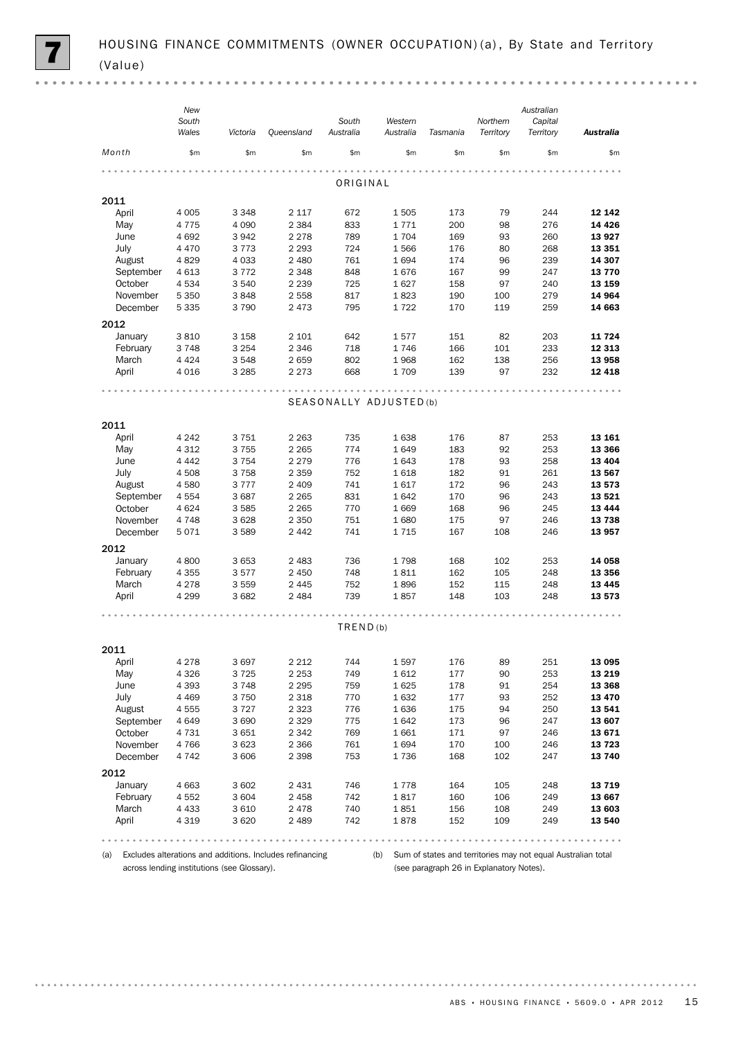|                     | New<br>South<br>Wales | Victoria        | Queensland         | South<br>Australia | Western<br>Australia   | Tasmania   | Northern<br>Territory | Australian<br>Capital<br>Territory | <b>Australia</b> |
|---------------------|-----------------------|-----------------|--------------------|--------------------|------------------------|------------|-----------------------|------------------------------------|------------------|
| Month               | \$m\$                 | \$m\$           | \$m\$              | \$m\$              | \$m\$                  | \$m        | \$m                   | \$m                                | \$m              |
|                     |                       |                 |                    | ORIGINAL           |                        |            |                       |                                    |                  |
| 2011                |                       |                 |                    |                    |                        |            |                       |                                    |                  |
| April               | 4 0 0 5               | 3 3 4 8         | 2 1 1 7            | 672                | 1505                   | 173        | 79                    | 244                                | 12 142           |
| May                 | 4775                  | 4 0 9 0         | 2 3 8 4            | 833                | 1771                   | 200        | 98                    | 276                                | 14 4 26          |
| June                | 4692                  | 3942            | 2 2 7 8            | 789                | 1704                   | 169        | 93                    | 260                                | 13 927           |
| July                | 4 4 7 0               | 3 7 7 3         | 2 2 9 3            | 724                | 1566                   | 176        | 80                    | 268                                | 13 351           |
| August              | 4829                  | 4 0 3 3         | 2 4 8 0            | 761                | 1694                   | 174        | 96                    | 239                                | 14 307           |
| September           | 4 6 1 3               | 3772            | 2 3 4 8            | 848                | 1676                   | 167        | 99                    | 247                                | 13 770           |
| October<br>November | 4534<br>5 3 5 0       | 3 5 4 0<br>3848 | 2 2 3 9<br>2 5 5 8 | 725<br>817         | 1627<br>1823           | 158<br>190 | 97<br>100             | 240<br>279                         | 13 159<br>14 964 |
| December            | 5 3 3 5               | 3790            | 2473               | 795                | 1722                   | 170        | 119                   | 259                                | 14 663           |
|                     |                       |                 |                    |                    |                        |            |                       |                                    |                  |
| 2012<br>January     | 3810                  | 3 1 5 8         | 2 101              | 642                | 1577                   | 151        | 82                    | 203                                | 11 724           |
| February            | 3748                  | 3 2 5 4         | 2 3 4 6            | 718                | 1746                   | 166        | 101                   | 233                                | 12 313           |
| March               | 4 4 2 4               | 3 5 4 8         | 2659               | 802                | 1968                   | 162        | 138                   | 256                                | 13 958           |
| April               | 4 0 16                | 3 2 8 5         | 2 2 7 3            | 668                | 1709                   | 139        | 97                    | 232                                | 12 4 18          |
|                     |                       |                 |                    |                    |                        |            |                       |                                    |                  |
|                     |                       |                 |                    |                    | SEASONALLY ADJUSTED(b) |            |                       |                                    |                  |
|                     |                       |                 |                    |                    |                        |            |                       |                                    |                  |
| 2011                |                       |                 |                    |                    |                        |            |                       |                                    |                  |
| April               | 4 2 4 2               | 3751            | 2 2 6 3            | 735                | 1638                   | 176        | 87                    | 253                                | 13 161           |
| May                 | 4 3 1 2               | 3755            | 2 2 6 5            | 774                | 1649                   | 183        | 92                    | 253                                | 13 366           |
| June                | 4 4 4 2               | 3 7 5 4         | 2 2 7 9            | 776                | 1643                   | 178        | 93                    | 258                                | 13 4 04          |
| July                | 4 5 0 8               | 3758            | 2 3 5 9            | 752                | 1618                   | 182        | 91                    | 261                                | 13 567           |
| August              | 4580                  | 3777            | 2 4 0 9            | 741                | 1617                   | 172        | 96                    | 243                                | 13 573           |
| September           | 4554                  | 3687            | 2 2 6 5            | 831                | 1642                   | 170        | 96                    | 243                                | 13 5 21          |
| October             | 4 6 2 4               | 3585            | 2 2 6 5            | 770                | 1669                   | 168        | 96                    | 245                                | 13 4 44          |
| November            | 4748                  | 3628            | 2 3 5 0            | 751                | 1680                   | 175        | 97                    | 246                                | 13738            |
| December            | 5071                  | 3 5 8 9         | 2442               | 741                | 1715                   | 167        | 108                   | 246                                | 13 957           |
| 2012                |                       |                 |                    |                    |                        |            |                       |                                    |                  |
| January             | 4 800                 | 3653            | 2483               | 736                | 1798                   | 168        | 102                   | 253                                | 14 058           |
| February            | 4 3 5 5               | 3577            | 2450               | 748                | 1811                   | 162        | 105                   | 248                                | 13 356           |
| March               | 4 2 7 8               | 3559            | 2445               | 752                | 1896                   | 152        | 115<br>103            | 248                                | 13 4 45          |
| April               | 4 2 9 9               | 3682            | 2484               | 739                | 1857                   | 148        |                       | 248                                | 13 573           |
|                     |                       |                 |                    |                    |                        |            |                       |                                    |                  |
|                     |                       |                 |                    | TRED(b)            |                        |            |                       |                                    |                  |
| 2011                |                       |                 |                    |                    |                        |            |                       |                                    |                  |
| April               | 4 2 7 8               | 3697            | 2 2 1 2            | 744                | 1597                   | 176        | 89                    | 251                                | 13 095           |
| May                 | 4 3 2 6               | 3725            | 2 2 5 3            | 749                | 1612                   | 177        | 90                    | 253                                | 13 219           |
| June                | 4 3 9 3               | 3748            | 2 2 9 5            | 759                | 1625                   | 178        | 91                    | 254                                | 13 368           |
| July                | 4 4 6 9               | 3750            | 2 3 1 8            | 770                | 1632                   | 177        | 93                    | 252                                | 13 4 70          |
| August              | 4555                  | 3727            | 2 3 2 3            | 776                | 1636                   | 175        | 94                    | 250                                | 13 541           |
| September           | 4649                  | 3690            | 2 3 2 9            | 775                | 1642                   | 173        | 96                    | 247                                | 13 607           |
| October             | 4731                  | 3651            | 2 3 4 2            | 769                | 1661                   | 171        | 97                    | 246                                | 13 671           |
| November            | 4766                  | 3 6 2 3         | 2 3 6 6            | 761                | 1694                   | 170        | 100                   | 246                                | 13 7 23          |
| December            | 4 7 4 2               | 3 606           | 2 3 9 8            | 753                | 1736                   | 168        | 102                   | 247                                | 13 740           |
| 2012                |                       |                 |                    |                    |                        |            |                       |                                    |                  |
| January             | 4 6 63                | 3 602           | 2 4 3 1            | 746                | 1778                   | 164        | 105                   | 248                                | 13 7 19          |
| February            | 4 5 5 2               | 3 6 0 4         | 2 4 5 8            | 742                | 1817                   | 160        | 106                   | 249                                | 13 667           |
| March               | 4 4 3 3               | 3 6 1 0         | 2478               | 740                | 1851                   | 156        | 108                   | 249                                | 13 603           |
| April               | 4 3 1 9               | 3620            | 2 4 8 9            | 742                | 1878                   | 152        | 109                   | 249                                | 13 540           |
|                     |                       |                 |                    |                    |                        |            |                       |                                    |                  |

(a) Excludes alterations and additions. Includes refinancing across lending institutions (see Glossary).

(b) Sum of states and territories may not equal Australian total (see paragraph 26 in Explanatory Notes).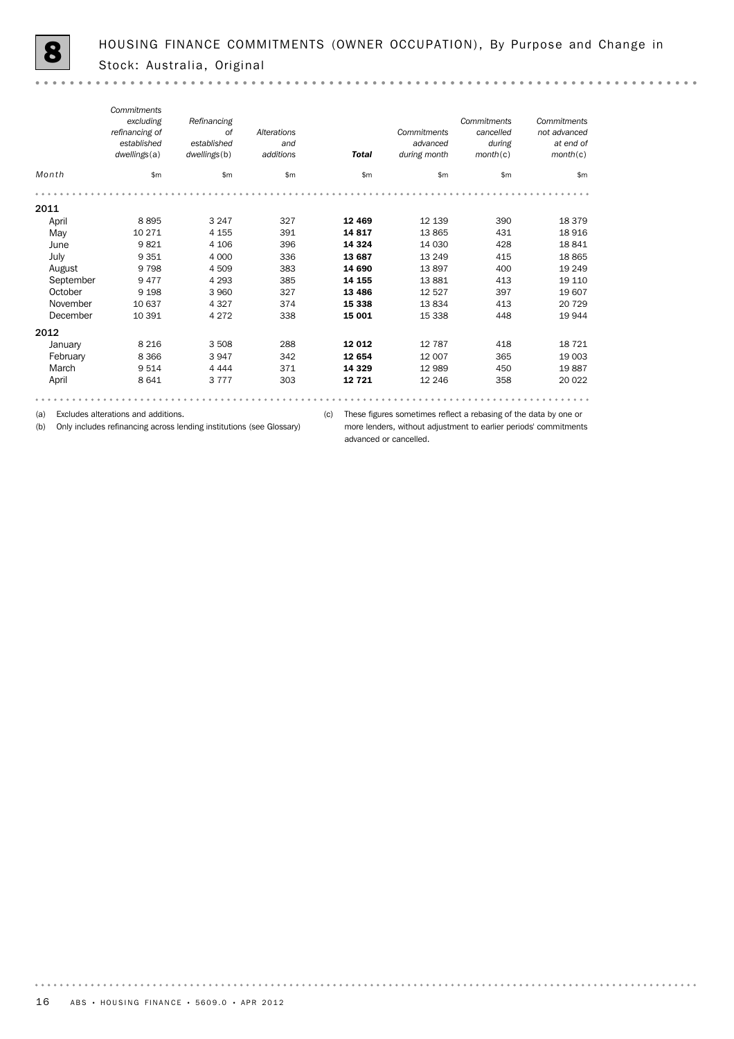$\sim$   $\sim$ 

*Commitments Refinancing Commitments Commitments excluding refinancing of of Alterations Commitments cancelled not advanced established established and advanced during at end of dwellings*(a) *dwellings*(b) *additions Total during month month*(c) *month*(c) *Month* \$m \$m \$m \$m \$m \$m \$m 2011 April 8 895 3 247 327 12 469 12 139 390 18 379 May 10 271 4 155 391 **14 817** 13 865 431 18 916 June 9 821 4 106 396 14 324 14 030 428 18 841 July 9 351 4 000 336 13 687 13 249 415 18 865 August 9 798 4 509 383 14 690 13 897 400 19 249 September 9 477 4 293 385 **14 155** 13 881 413 19 110 October 9 198 3 960 327 13 486 12 527 397 19 607 November 10 637 4 327 374 **15 338** 13 834 413 20 729 December 10 391 4 272 338 **15 001** 15 338 448 19 944 2012 January 8 216 3 508 288 **12 012** 12 787 418 18 721 February 8366 3947 342 **12 654** 12 007 365 19 003 March 9 514 4 444 371 14 329 12 989 450 19 887 April 8 641 3 777 303 12 721 12 246 358 20 022 

. . . . . . . . . .

(a) Excludes alterations and additions.

(b) Only includes refinancing across lending institutions (see Glossary)

(c) These figures sometimes reflect a rebasing of the data by one or more lenders, without adjustment to earlier periods' commitments advanced or cancelled.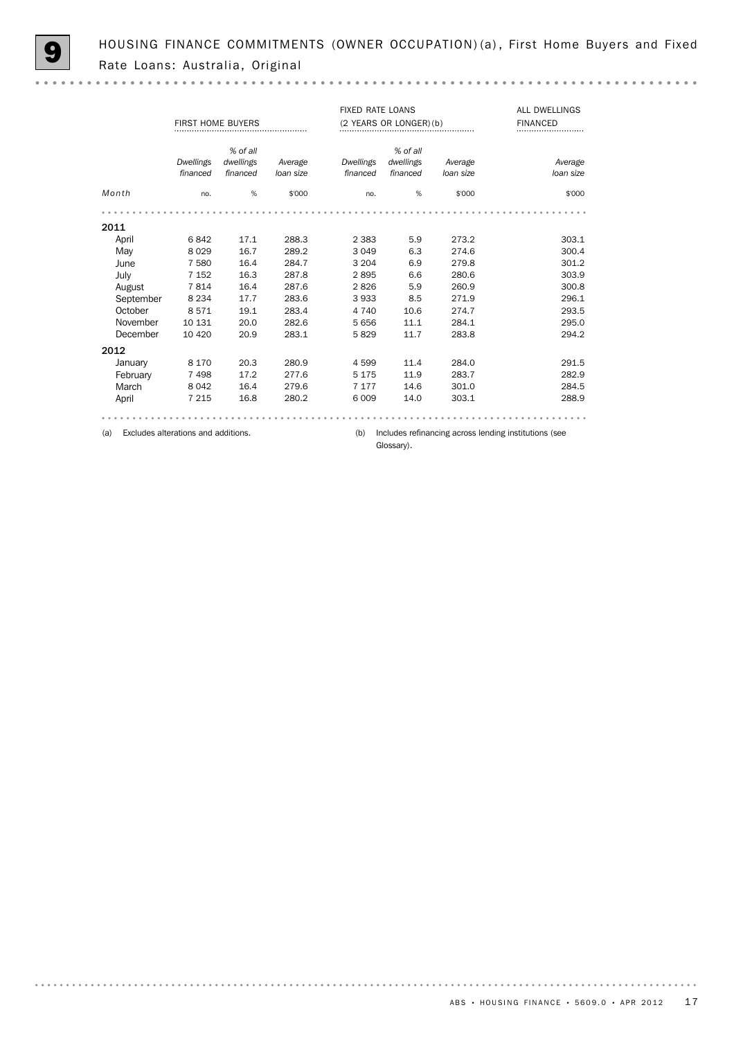HOUSING FINANCE COMMITMENTS (OWNER OCCUPATION) (a), First Home Buyers and Fixed Rate Loans: Australia, Original

 $-0.000$ 

|           | <b>FIRST HOME BUYERS</b>            |                                   |                      | <b>FIXED RATE LOANS</b> | (2 YEARS OR LONGER) (b)           | ALL DWELLINGS<br><b>FINANCED</b> |                                                       |
|-----------|-------------------------------------|-----------------------------------|----------------------|-------------------------|-----------------------------------|----------------------------------|-------------------------------------------------------|
|           | <b>Dwellings</b><br>financed        | % of all<br>dwellings<br>financed | Average<br>loan size | Dwellings<br>financed   | % of all<br>dwellings<br>financed | Average<br>loan size             | Average<br>loan size                                  |
| Month     | no.                                 | %                                 | \$'000               | no.                     | %                                 | \$'000                           | \$'000                                                |
|           |                                     |                                   |                      |                         |                                   |                                  |                                                       |
| 2011      |                                     |                                   |                      |                         |                                   |                                  |                                                       |
| April     | 6842                                | 17.1                              | 288.3                | 2 3 8 3                 | 5.9                               | 273.2                            | 303.1                                                 |
| May       | 8029                                | 16.7                              | 289.2                | 3 0 4 9                 | 6.3                               | 274.6                            | 300.4                                                 |
| June      | 7 5 8 0                             | 16.4                              | 284.7                | 3 2 0 4                 | 6.9                               | 279.8                            | 301.2                                                 |
| July      | 7 1 5 2                             | 16.3                              | 287.8                | 2895                    | 6.6                               | 280.6                            | 303.9                                                 |
| August    | 7814                                | 16.4                              | 287.6                | 2826                    | 5.9                               | 260.9                            | 300.8                                                 |
| September | 8 2 3 4                             | 17.7                              | 283.6                | 3933                    | 8.5                               | 271.9                            | 296.1                                                 |
| October   | 8571                                | 19.1                              | 283.4                | 4 7 4 0                 | 10.6                              | 274.7                            | 293.5                                                 |
| November  | 10 131                              | 20.0                              | 282.6                | 5656                    | 11.1                              | 284.1                            | 295.0                                                 |
| December  | 10 4 20                             | 20.9                              | 283.1                | 5829                    | 11.7                              | 283.8                            | 294.2                                                 |
| 2012      |                                     |                                   |                      |                         |                                   |                                  |                                                       |
| January   | 8 1 7 0                             | 20.3                              | 280.9                | 4599                    | 11.4                              | 284.0                            | 291.5                                                 |
| February  | 7498                                | 17.2                              | 277.6                | 5 1 7 5                 | 11.9                              | 283.7                            | 282.9                                                 |
| March     | 8 0 4 2                             | 16.4                              | 279.6                | 7 1 7 7                 | 14.6                              | 301.0                            | 284.5                                                 |
| April     | 7 2 1 5                             | 16.8                              | 280.2                | 6 0 0 9                 | 14.0                              | 303.1                            | 288.9                                                 |
|           |                                     |                                   |                      |                         |                                   |                                  |                                                       |
| (a)       | Excludes alterations and additions. |                                   |                      | (b)                     |                                   |                                  | Includes refinancing across lending institutions (see |

Glossary).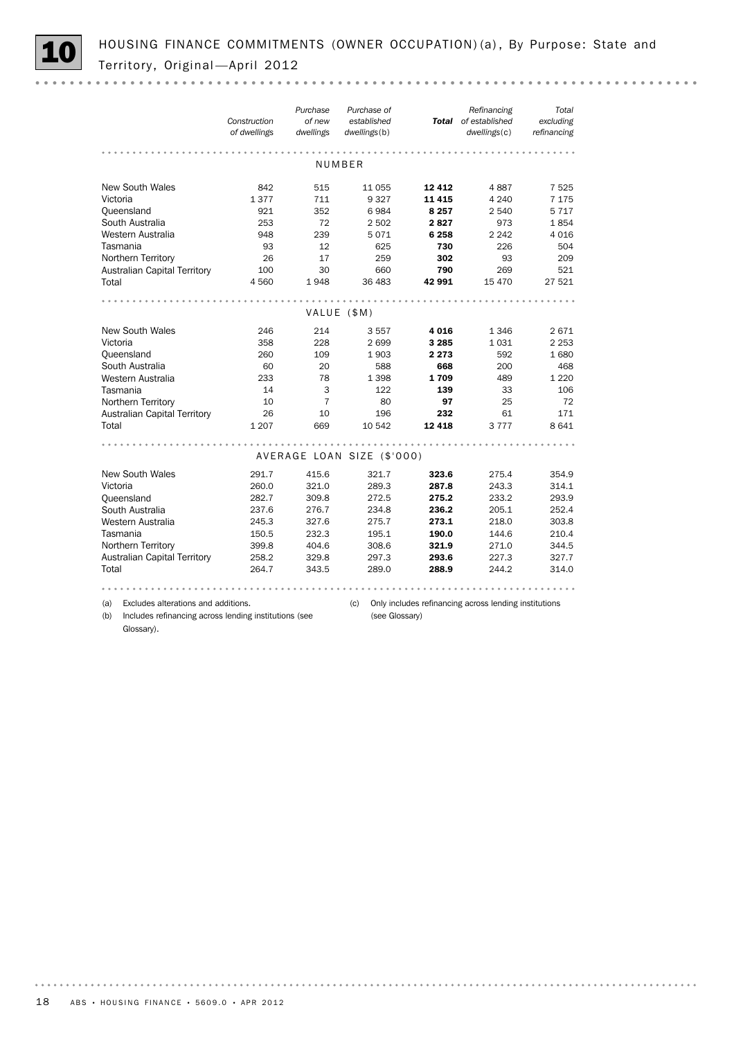

HOUSING FINANCE COMMITMENTS (OWNER OCCUPATION) (a), By Purpose: State and Territory, Original - April 2012

|                                                                            | Construction<br>of dwellings | Purchase<br>of new<br>dwellings | Purchase of<br>established<br>dwellings(b) |             | Refinancing<br>Total of established<br>dwellings(c)   | Total<br>excluding<br>refinancing |
|----------------------------------------------------------------------------|------------------------------|---------------------------------|--------------------------------------------|-------------|-------------------------------------------------------|-----------------------------------|
|                                                                            |                              |                                 | NUMBER                                     |             |                                                       |                                   |
|                                                                            |                              |                                 |                                            |             |                                                       |                                   |
| <b>New South Wales</b>                                                     | 842                          | 515                             | 11 0 55                                    | 12412       | 4887                                                  | 7525                              |
| Victoria                                                                   | 1377                         | 711                             | 9327                                       | 11 4 15     | 4 2 4 0                                               | 7 1 7 5                           |
| Queensland                                                                 | 921                          | 352                             | 6984                                       | 8 2 5 7     | 2 540                                                 | 5 7 1 7                           |
| South Australia                                                            | 253                          | 72                              | 2 5 0 2                                    | 2827        | 973                                                   | 1854                              |
| Western Australia                                                          | 948                          | 239                             | 5071                                       | 6 2 5 8     | 2 2 4 2                                               | 4016                              |
| Tasmania                                                                   | 93                           | 12                              | 625                                        | 730         | 226                                                   | 504                               |
| Northern Territory                                                         | 26                           | 17                              | 259                                        | 302         | 93                                                    | 209                               |
| Australian Capital Territory                                               | 100                          | 30                              | 660                                        | 790         | 269                                                   | 521                               |
| Total                                                                      | 4 5 6 0                      | 1948                            | 36 483                                     | 42 991      | 15 470                                                | 27 521                            |
|                                                                            |                              |                                 |                                            |             |                                                       |                                   |
|                                                                            |                              |                                 | VALUE (\$M)                                |             |                                                       |                                   |
| <b>New South Wales</b>                                                     | 246                          | 214                             | 3557                                       | 4 0 1 6     | 1 346                                                 | 2671                              |
| Victoria                                                                   | 358                          | 228                             | 2699                                       | 3 2 8 5     | 1031                                                  | 2 2 5 3                           |
| Queensland                                                                 | 260                          | 109                             | 1903                                       | 2 2 7 3     | 592                                                   | 1680                              |
| South Australia                                                            | 60                           | 20                              | 588                                        | 668         | 200                                                   | 468                               |
| Western Australia                                                          | 233                          | 78                              | 1 3 9 8                                    | 1709        | 489                                                   | 1 2 2 0                           |
| Tasmania                                                                   | 14                           | 3                               | 122                                        | 139         | 33                                                    | 106                               |
| Northern Territory                                                         | 10                           | $\overline{7}$                  | 80                                         | 97          | 25                                                    | 72                                |
| <b>Australian Capital Territory</b>                                        | 26                           | 10                              | 196                                        | 232         | 61                                                    | 171                               |
| Total                                                                      | 1 2 0 7                      | 669                             | 10 542                                     | 12 4 18     | 3 7 7 7                                               | 8 6 4 1                           |
|                                                                            |                              |                                 |                                            | $A - A - A$ |                                                       |                                   |
|                                                                            |                              |                                 | AVERAGE LOAN SIZE (\$'000)                 |             |                                                       |                                   |
| <b>New South Wales</b>                                                     | 291.7                        | 415.6                           | 321.7                                      | 323.6       | 275.4                                                 | 354.9                             |
| Victoria                                                                   | 260.0                        | 321.0                           | 289.3                                      | 287.8       | 243.3                                                 | 314.1                             |
| Queensland                                                                 | 282.7                        | 309.8                           | 272.5                                      | 275.2       | 233.2                                                 | 293.9                             |
| South Australia                                                            | 237.6                        | 276.7                           | 234.8                                      | 236.2       | 205.1                                                 | 252.4                             |
| Western Australia                                                          | 245.3                        | 327.6                           | 275.7                                      | 273.1       | 218.0                                                 | 303.8                             |
| Tasmania                                                                   | 150.5                        | 232.3                           | 195.1                                      | 190.0       | 144.6                                                 | 210.4                             |
| Northern Territory                                                         | 399.8                        | 404.6                           | 308.6                                      | 321.9       | 271.0                                                 | 344.5                             |
| <b>Australian Capital Territory</b>                                        | 258.2                        | 329.8                           | 297.3                                      | 293.6       | 227.3                                                 | 327.7                             |
| Total                                                                      | 264.7                        | 343.5                           | 289.0                                      | 288.9       | 244.2                                                 | 314.0                             |
|                                                                            |                              |                                 |                                            |             |                                                       |                                   |
| Excludes alterations and additions.<br>(a)                                 |                              |                                 | (c)                                        |             | Only includes refinancing across lending institutions |                                   |
| (b)<br>Includes refinancing across lending institutions (see<br>Glossary). |                              |                                 | (see Glossary)                             |             |                                                       |                                   |

18 ABS • HOUSING FINANCE • 5609.0 • APR 2012

. . . . . . . . .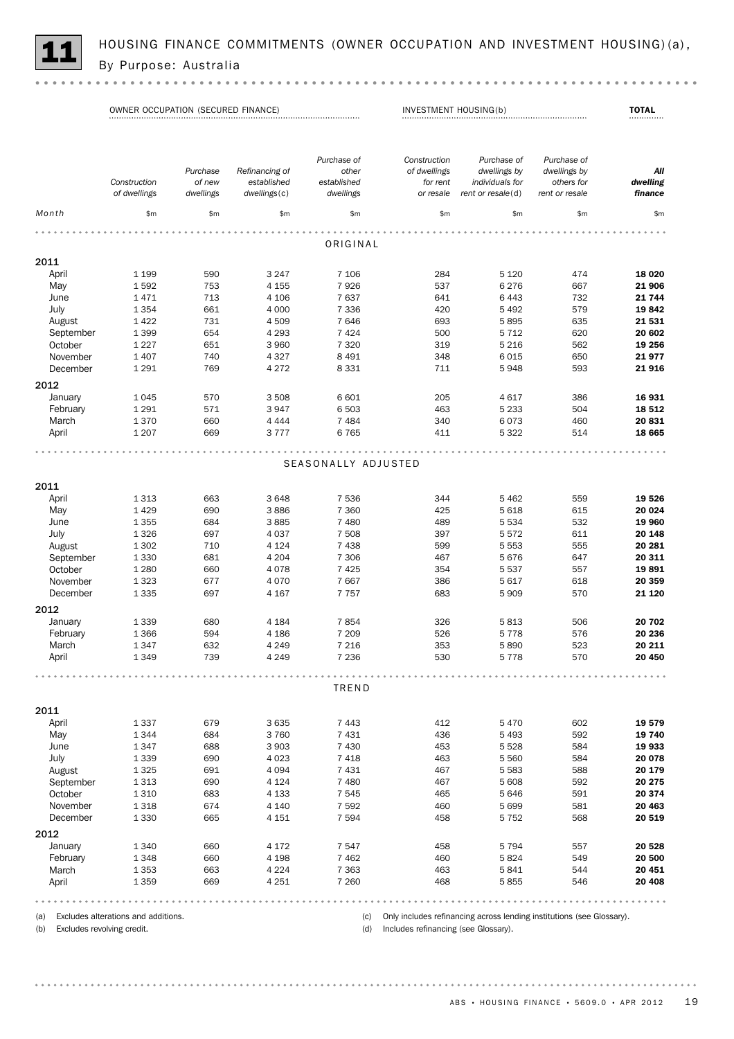

HOUSING FINANCE COMMITMENTS (OWNER OCCUPATION AND INVESTMENT HOUSING)(a),<br>By Purpose: Australia

OWNER OCCUPATION (SECURED FINANCE) INVESTMENT HOUSING(b) TOTAL

| nth<br>\$m\$<br>\$m\$<br>\$m\$<br>\$m\$<br>\$m\$<br>\$m\$<br>\$m\$<br>ORIGINAL<br>11<br>1 1 9 9<br>590<br>7 10 6<br>284<br>April<br>3 2 4 7<br>5 1 2 0<br>474<br>753<br>7926<br>6 2 7 6<br>Mav<br>1592<br>4 1 5 5<br>537<br>667<br>7637<br>1471<br>713<br>4 10 6<br>641<br>6 4 4 3<br>732<br>June<br>661<br>7 3 3 6<br>5 4 9 2<br>579<br>July<br>1 3 5 4<br>4 0 0 0<br>420<br>August<br>1422<br>731<br>7646<br>5895<br>635<br>4509<br>693<br>1 3 9 9<br>654<br>4 2 9 3<br>7 4 2 4<br>500<br>5 7 1 2<br>620<br>September<br>October<br>1 2 2 7<br>651<br>3 9 6 0<br>7 3 2 0<br>562<br>319<br>5 2 1 6<br>November<br>1 4 0 7<br>740<br>4 3 2 7<br>8 4 9 1<br>348<br>6 0 1 5<br>650<br>December<br>1 2 9 1<br>769<br>4 2 7 2<br>8 3 3 1<br>711<br>5948<br>593<br>12<br>570<br>386<br>January<br>1045<br>3508<br>6 601<br>205<br>4 6 1 7<br>1 2 9 1<br>571<br>3947<br>6 503<br>5 2 3 3<br>504<br>February<br>463<br>1370<br>660<br>4 4 4 4<br>7 4 8 4<br>340<br>6073<br>460<br>March<br>669<br>5 3 2 2<br>1 2 0 7<br>3777<br>6765<br>411<br>514<br>April<br>SEASONALLY ADJUSTED<br>11<br>7 5 3 6<br>1313<br>663<br>3648<br>344<br>5 4 6 2<br>559<br>April<br>1429<br>690<br>3886<br>7 3 6 0<br>425<br>5 6 18<br>615<br>May<br>1 3 5 5<br>684<br>3885<br>7 4 8 0<br>489<br>5 5 3 4<br>532<br>June<br>1326<br>697<br>4 0 3 7<br>7 508<br>397<br>5572<br>611<br>July<br>7 4 3 8<br>August<br>1 3 0 2<br>710<br>4 1 2 4<br>599<br>5 5 5 3<br>555<br>681<br>September<br>1 3 3 0<br>4 2 0 4<br>7 3 0 6<br>467<br>5676<br>647<br>October<br>1 2 8 0<br>660<br>4078<br>7425<br>354<br>5 5 3 7<br>557<br>November<br>1 3 2 3<br>677<br>7 6 6 7<br>5 6 1 7<br>4 0 7 0<br>386<br>618<br>1 3 3 5<br>697<br>5 9 0 9<br>570<br>December<br>4 1 6 7<br>7757<br>683<br>12<br>680<br>506<br>January<br>1 3 3 9<br>4 1 8 4<br>7854<br>326<br>5813<br>February<br>1 3 6 6<br>594<br>4 1 8 6<br>7 2 0 9<br>526<br>5778<br>576<br>1347<br>632<br>4 2 4 9<br>7 2 1 6<br>353<br>5890<br>523<br>March |       | Construction<br>of dwellings | Purchase<br>of new<br>dwellings | Refinancing of<br>established<br>dwellings(c) | Purchase of<br>other<br>established<br>dwellings | Construction<br>of dwellings<br>for rent<br>or resale | Purchase of<br>dwellings by<br>individuals for<br>rent or resale(d) | Purchase of<br>dwellings by<br>others for<br>rent or resale | All<br>dwelling<br>finance |
|----------------------------------------------------------------------------------------------------------------------------------------------------------------------------------------------------------------------------------------------------------------------------------------------------------------------------------------------------------------------------------------------------------------------------------------------------------------------------------------------------------------------------------------------------------------------------------------------------------------------------------------------------------------------------------------------------------------------------------------------------------------------------------------------------------------------------------------------------------------------------------------------------------------------------------------------------------------------------------------------------------------------------------------------------------------------------------------------------------------------------------------------------------------------------------------------------------------------------------------------------------------------------------------------------------------------------------------------------------------------------------------------------------------------------------------------------------------------------------------------------------------------------------------------------------------------------------------------------------------------------------------------------------------------------------------------------------------------------------------------------------------------------------------------------------------------------------------------------------------------------------------------------------------------------------------------------------------------------|-------|------------------------------|---------------------------------|-----------------------------------------------|--------------------------------------------------|-------------------------------------------------------|---------------------------------------------------------------------|-------------------------------------------------------------|----------------------------|
|                                                                                                                                                                                                                                                                                                                                                                                                                                                                                                                                                                                                                                                                                                                                                                                                                                                                                                                                                                                                                                                                                                                                                                                                                                                                                                                                                                                                                                                                                                                                                                                                                                                                                                                                                                                                                                                                                                                                                                            |       |                              |                                 |                                               |                                                  |                                                       |                                                                     |                                                             | \$m\$                      |
|                                                                                                                                                                                                                                                                                                                                                                                                                                                                                                                                                                                                                                                                                                                                                                                                                                                                                                                                                                                                                                                                                                                                                                                                                                                                                                                                                                                                                                                                                                                                                                                                                                                                                                                                                                                                                                                                                                                                                                            |       |                              |                                 |                                               |                                                  |                                                       |                                                                     |                                                             |                            |
|                                                                                                                                                                                                                                                                                                                                                                                                                                                                                                                                                                                                                                                                                                                                                                                                                                                                                                                                                                                                                                                                                                                                                                                                                                                                                                                                                                                                                                                                                                                                                                                                                                                                                                                                                                                                                                                                                                                                                                            |       |                              |                                 |                                               |                                                  |                                                       |                                                                     |                                                             |                            |
|                                                                                                                                                                                                                                                                                                                                                                                                                                                                                                                                                                                                                                                                                                                                                                                                                                                                                                                                                                                                                                                                                                                                                                                                                                                                                                                                                                                                                                                                                                                                                                                                                                                                                                                                                                                                                                                                                                                                                                            |       |                              |                                 |                                               |                                                  |                                                       |                                                                     |                                                             |                            |
|                                                                                                                                                                                                                                                                                                                                                                                                                                                                                                                                                                                                                                                                                                                                                                                                                                                                                                                                                                                                                                                                                                                                                                                                                                                                                                                                                                                                                                                                                                                                                                                                                                                                                                                                                                                                                                                                                                                                                                            |       |                              |                                 |                                               |                                                  |                                                       |                                                                     |                                                             | 18 0 20                    |
|                                                                                                                                                                                                                                                                                                                                                                                                                                                                                                                                                                                                                                                                                                                                                                                                                                                                                                                                                                                                                                                                                                                                                                                                                                                                                                                                                                                                                                                                                                                                                                                                                                                                                                                                                                                                                                                                                                                                                                            |       |                              |                                 |                                               |                                                  |                                                       |                                                                     |                                                             | 21 906                     |
|                                                                                                                                                                                                                                                                                                                                                                                                                                                                                                                                                                                                                                                                                                                                                                                                                                                                                                                                                                                                                                                                                                                                                                                                                                                                                                                                                                                                                                                                                                                                                                                                                                                                                                                                                                                                                                                                                                                                                                            |       |                              |                                 |                                               |                                                  |                                                       |                                                                     |                                                             | 21 744                     |
|                                                                                                                                                                                                                                                                                                                                                                                                                                                                                                                                                                                                                                                                                                                                                                                                                                                                                                                                                                                                                                                                                                                                                                                                                                                                                                                                                                                                                                                                                                                                                                                                                                                                                                                                                                                                                                                                                                                                                                            |       |                              |                                 |                                               |                                                  |                                                       |                                                                     |                                                             | 19842                      |
|                                                                                                                                                                                                                                                                                                                                                                                                                                                                                                                                                                                                                                                                                                                                                                                                                                                                                                                                                                                                                                                                                                                                                                                                                                                                                                                                                                                                                                                                                                                                                                                                                                                                                                                                                                                                                                                                                                                                                                            |       |                              |                                 |                                               |                                                  |                                                       |                                                                     |                                                             | 21 531                     |
|                                                                                                                                                                                                                                                                                                                                                                                                                                                                                                                                                                                                                                                                                                                                                                                                                                                                                                                                                                                                                                                                                                                                                                                                                                                                                                                                                                                                                                                                                                                                                                                                                                                                                                                                                                                                                                                                                                                                                                            |       |                              |                                 |                                               |                                                  |                                                       |                                                                     |                                                             | 20 602                     |
|                                                                                                                                                                                                                                                                                                                                                                                                                                                                                                                                                                                                                                                                                                                                                                                                                                                                                                                                                                                                                                                                                                                                                                                                                                                                                                                                                                                                                                                                                                                                                                                                                                                                                                                                                                                                                                                                                                                                                                            |       |                              |                                 |                                               |                                                  |                                                       |                                                                     |                                                             | 19 256                     |
|                                                                                                                                                                                                                                                                                                                                                                                                                                                                                                                                                                                                                                                                                                                                                                                                                                                                                                                                                                                                                                                                                                                                                                                                                                                                                                                                                                                                                                                                                                                                                                                                                                                                                                                                                                                                                                                                                                                                                                            |       |                              |                                 |                                               |                                                  |                                                       |                                                                     |                                                             | 21977                      |
|                                                                                                                                                                                                                                                                                                                                                                                                                                                                                                                                                                                                                                                                                                                                                                                                                                                                                                                                                                                                                                                                                                                                                                                                                                                                                                                                                                                                                                                                                                                                                                                                                                                                                                                                                                                                                                                                                                                                                                            |       |                              |                                 |                                               |                                                  |                                                       |                                                                     |                                                             | 21916                      |
|                                                                                                                                                                                                                                                                                                                                                                                                                                                                                                                                                                                                                                                                                                                                                                                                                                                                                                                                                                                                                                                                                                                                                                                                                                                                                                                                                                                                                                                                                                                                                                                                                                                                                                                                                                                                                                                                                                                                                                            |       |                              |                                 |                                               |                                                  |                                                       |                                                                     |                                                             |                            |
|                                                                                                                                                                                                                                                                                                                                                                                                                                                                                                                                                                                                                                                                                                                                                                                                                                                                                                                                                                                                                                                                                                                                                                                                                                                                                                                                                                                                                                                                                                                                                                                                                                                                                                                                                                                                                                                                                                                                                                            |       |                              |                                 |                                               |                                                  |                                                       |                                                                     |                                                             | 16 931                     |
|                                                                                                                                                                                                                                                                                                                                                                                                                                                                                                                                                                                                                                                                                                                                                                                                                                                                                                                                                                                                                                                                                                                                                                                                                                                                                                                                                                                                                                                                                                                                                                                                                                                                                                                                                                                                                                                                                                                                                                            |       |                              |                                 |                                               |                                                  |                                                       |                                                                     |                                                             | 18 5 12                    |
|                                                                                                                                                                                                                                                                                                                                                                                                                                                                                                                                                                                                                                                                                                                                                                                                                                                                                                                                                                                                                                                                                                                                                                                                                                                                                                                                                                                                                                                                                                                                                                                                                                                                                                                                                                                                                                                                                                                                                                            |       |                              |                                 |                                               |                                                  |                                                       |                                                                     |                                                             | 20 831                     |
|                                                                                                                                                                                                                                                                                                                                                                                                                                                                                                                                                                                                                                                                                                                                                                                                                                                                                                                                                                                                                                                                                                                                                                                                                                                                                                                                                                                                                                                                                                                                                                                                                                                                                                                                                                                                                                                                                                                                                                            |       |                              |                                 |                                               |                                                  |                                                       |                                                                     |                                                             | 18 665                     |
|                                                                                                                                                                                                                                                                                                                                                                                                                                                                                                                                                                                                                                                                                                                                                                                                                                                                                                                                                                                                                                                                                                                                                                                                                                                                                                                                                                                                                                                                                                                                                                                                                                                                                                                                                                                                                                                                                                                                                                            |       |                              |                                 |                                               |                                                  |                                                       |                                                                     |                                                             |                            |
|                                                                                                                                                                                                                                                                                                                                                                                                                                                                                                                                                                                                                                                                                                                                                                                                                                                                                                                                                                                                                                                                                                                                                                                                                                                                                                                                                                                                                                                                                                                                                                                                                                                                                                                                                                                                                                                                                                                                                                            |       |                              |                                 |                                               |                                                  |                                                       |                                                                     |                                                             |                            |
|                                                                                                                                                                                                                                                                                                                                                                                                                                                                                                                                                                                                                                                                                                                                                                                                                                                                                                                                                                                                                                                                                                                                                                                                                                                                                                                                                                                                                                                                                                                                                                                                                                                                                                                                                                                                                                                                                                                                                                            |       |                              |                                 |                                               |                                                  |                                                       |                                                                     |                                                             |                            |
|                                                                                                                                                                                                                                                                                                                                                                                                                                                                                                                                                                                                                                                                                                                                                                                                                                                                                                                                                                                                                                                                                                                                                                                                                                                                                                                                                                                                                                                                                                                                                                                                                                                                                                                                                                                                                                                                                                                                                                            |       |                              |                                 |                                               |                                                  |                                                       |                                                                     |                                                             |                            |
|                                                                                                                                                                                                                                                                                                                                                                                                                                                                                                                                                                                                                                                                                                                                                                                                                                                                                                                                                                                                                                                                                                                                                                                                                                                                                                                                                                                                                                                                                                                                                                                                                                                                                                                                                                                                                                                                                                                                                                            |       |                              |                                 |                                               |                                                  |                                                       |                                                                     |                                                             | 19 526                     |
|                                                                                                                                                                                                                                                                                                                                                                                                                                                                                                                                                                                                                                                                                                                                                                                                                                                                                                                                                                                                                                                                                                                                                                                                                                                                                                                                                                                                                                                                                                                                                                                                                                                                                                                                                                                                                                                                                                                                                                            |       |                              |                                 |                                               |                                                  |                                                       |                                                                     |                                                             | 20 024                     |
|                                                                                                                                                                                                                                                                                                                                                                                                                                                                                                                                                                                                                                                                                                                                                                                                                                                                                                                                                                                                                                                                                                                                                                                                                                                                                                                                                                                                                                                                                                                                                                                                                                                                                                                                                                                                                                                                                                                                                                            |       |                              |                                 |                                               |                                                  |                                                       |                                                                     |                                                             | 19 960                     |
|                                                                                                                                                                                                                                                                                                                                                                                                                                                                                                                                                                                                                                                                                                                                                                                                                                                                                                                                                                                                                                                                                                                                                                                                                                                                                                                                                                                                                                                                                                                                                                                                                                                                                                                                                                                                                                                                                                                                                                            |       |                              |                                 |                                               |                                                  |                                                       |                                                                     |                                                             | 20 148                     |
|                                                                                                                                                                                                                                                                                                                                                                                                                                                                                                                                                                                                                                                                                                                                                                                                                                                                                                                                                                                                                                                                                                                                                                                                                                                                                                                                                                                                                                                                                                                                                                                                                                                                                                                                                                                                                                                                                                                                                                            |       |                              |                                 |                                               |                                                  |                                                       |                                                                     |                                                             | 20 281                     |
|                                                                                                                                                                                                                                                                                                                                                                                                                                                                                                                                                                                                                                                                                                                                                                                                                                                                                                                                                                                                                                                                                                                                                                                                                                                                                                                                                                                                                                                                                                                                                                                                                                                                                                                                                                                                                                                                                                                                                                            |       |                              |                                 |                                               |                                                  |                                                       |                                                                     |                                                             | 20 311                     |
|                                                                                                                                                                                                                                                                                                                                                                                                                                                                                                                                                                                                                                                                                                                                                                                                                                                                                                                                                                                                                                                                                                                                                                                                                                                                                                                                                                                                                                                                                                                                                                                                                                                                                                                                                                                                                                                                                                                                                                            |       |                              |                                 |                                               |                                                  |                                                       |                                                                     |                                                             | 19891                      |
|                                                                                                                                                                                                                                                                                                                                                                                                                                                                                                                                                                                                                                                                                                                                                                                                                                                                                                                                                                                                                                                                                                                                                                                                                                                                                                                                                                                                                                                                                                                                                                                                                                                                                                                                                                                                                                                                                                                                                                            |       |                              |                                 |                                               |                                                  |                                                       |                                                                     |                                                             | 20 359                     |
|                                                                                                                                                                                                                                                                                                                                                                                                                                                                                                                                                                                                                                                                                                                                                                                                                                                                                                                                                                                                                                                                                                                                                                                                                                                                                                                                                                                                                                                                                                                                                                                                                                                                                                                                                                                                                                                                                                                                                                            |       |                              |                                 |                                               |                                                  |                                                       |                                                                     |                                                             | 21 1 20                    |
|                                                                                                                                                                                                                                                                                                                                                                                                                                                                                                                                                                                                                                                                                                                                                                                                                                                                                                                                                                                                                                                                                                                                                                                                                                                                                                                                                                                                                                                                                                                                                                                                                                                                                                                                                                                                                                                                                                                                                                            |       |                              |                                 |                                               |                                                  |                                                       |                                                                     |                                                             |                            |
|                                                                                                                                                                                                                                                                                                                                                                                                                                                                                                                                                                                                                                                                                                                                                                                                                                                                                                                                                                                                                                                                                                                                                                                                                                                                                                                                                                                                                                                                                                                                                                                                                                                                                                                                                                                                                                                                                                                                                                            |       |                              |                                 |                                               |                                                  |                                                       |                                                                     |                                                             | 20 702                     |
|                                                                                                                                                                                                                                                                                                                                                                                                                                                                                                                                                                                                                                                                                                                                                                                                                                                                                                                                                                                                                                                                                                                                                                                                                                                                                                                                                                                                                                                                                                                                                                                                                                                                                                                                                                                                                                                                                                                                                                            |       |                              |                                 |                                               |                                                  |                                                       |                                                                     |                                                             | 20 236                     |
|                                                                                                                                                                                                                                                                                                                                                                                                                                                                                                                                                                                                                                                                                                                                                                                                                                                                                                                                                                                                                                                                                                                                                                                                                                                                                                                                                                                                                                                                                                                                                                                                                                                                                                                                                                                                                                                                                                                                                                            |       |                              |                                 |                                               |                                                  |                                                       |                                                                     |                                                             | 20 211                     |
|                                                                                                                                                                                                                                                                                                                                                                                                                                                                                                                                                                                                                                                                                                                                                                                                                                                                                                                                                                                                                                                                                                                                                                                                                                                                                                                                                                                                                                                                                                                                                                                                                                                                                                                                                                                                                                                                                                                                                                            | April | 1349                         | 739                             | 4 2 4 9                                       | 7 2 3 6                                          | 530                                                   | 5778                                                                | 570                                                         | 20 450                     |

| 2011      |         |     |         |         |     |         |     |         |
|-----------|---------|-----|---------|---------|-----|---------|-----|---------|
| April     | 1337    | 679 | 3635    | 7443    | 412 | 5470    | 602 | 19579   |
| May       | 1344    | 684 | 3 7 6 0 | 7431    | 436 | 5 4 9 3 | 592 | 19 740  |
| June      | 1347    | 688 | 3 9 0 3 | 7 4 3 0 | 453 | 5 5 28  | 584 | 19 933  |
| July      | 1 3 3 9 | 690 | 4 0 2 3 | 7418    | 463 | 5 5 6 0 | 584 | 20 078  |
| August    | 1 3 2 5 | 691 | 4 0 9 4 | 7 4 3 1 | 467 | 5 5 8 3 | 588 | 20 179  |
| September | 1313    | 690 | 4 1 2 4 | 7480    | 467 | 5 608   | 592 | 20 275  |
| October   | 1310    | 683 | 4 1 3 3 | 7 5 4 5 | 465 | 5646    | 591 | 20 374  |
| November  | 1318    | 674 | 4 1 4 0 | 7 5 9 2 | 460 | 5 6 9 9 | 581 | 20 4 63 |
| December  | 1 3 3 0 | 665 | 4 1 5 1 | 7 5 9 4 | 458 | 5 7 5 2 | 568 | 20 519  |
| 2012      |         |     |         |         |     |         |     |         |
| January   | 1 3 4 0 | 660 | 4 1 7 2 | 7 5 4 7 | 458 | 5 7 9 4 | 557 | 20 528  |
| February  | 1348    | 660 | 4 1 9 8 | 7 4 6 2 | 460 | 5824    | 549 | 20 500  |
| March     | 1 3 5 3 | 663 | 4 2 2 4 | 7 3 6 3 | 463 | 5841    | 544 | 20 451  |
| April     | 1 3 5 9 | 669 | 4 2 5 1 | 7 2 6 0 | 468 | 5855    | 546 | 20 408  |
|           |         |     |         |         |     |         |     |         |

(a) Excludes alterations and additions.

(c) Only includes refinancing across lending institutions (see Glossary).

(b) Excludes revolving credit.

 $\sim$   $\sim$ 

2012

. . . . . . . . .

2011

. . . . . . . . .

2012

**2011**<br>April

*Month*

(d) Includes refinancing (see Glossary).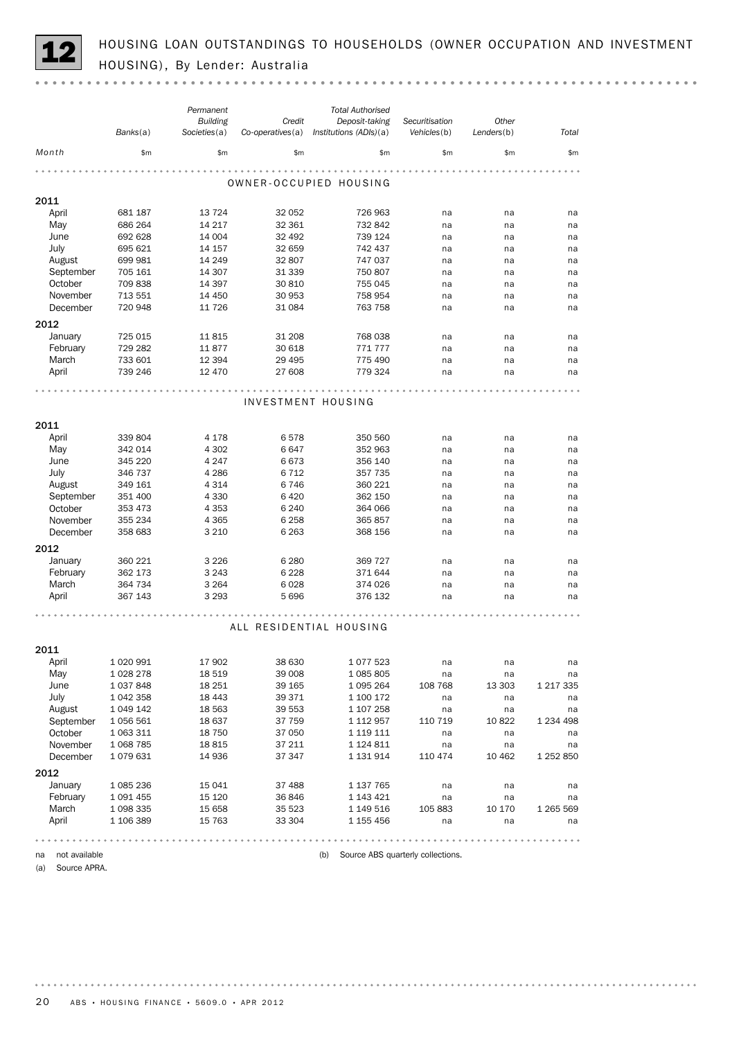HOUSING LOAN OUTSTANDINGS TO HOUSEHOLDS (OWNER OCCUPATION AND INVESTMENT HOUSING), By Lender: Australia

|                     |               | Permanent       |                  | <b>Total Authorised</b> |                                   |            |               |
|---------------------|---------------|-----------------|------------------|-------------------------|-----------------------------------|------------|---------------|
|                     |               | <b>Building</b> | Credit           | Deposit-taking          | Securitisation                    | Other      |               |
|                     | Banks(a)      | Societies(a)    | Co-operatives(a) | Institutions (ADIs)(a)  | Vehicles(b)                       | Lenders(b) | Total         |
| Month               | \$m\$         | \$m\$           | \$m              | \$m                     | \$m                               | \$m\$      | \$m\$         |
|                     |               |                 |                  |                         |                                   |            |               |
|                     |               |                 |                  | OWNER-OCCUPIED HOUSING  |                                   |            |               |
| 2011                |               |                 |                  |                         |                                   |            |               |
| April               | 681 187       | 13 7 24         | 32 052           | 726 963                 | na                                | na         | na            |
| May                 | 686 264       | 14 217          | 32 361           | 732 842                 | na                                | na         | na            |
| June                | 692 628       | 14 004          | 32 492           | 739 124                 | na                                | na         | na            |
| July                | 695 621       | 14 157          | 32 659           | 742 437                 | na                                | na         | na            |
| August              | 699 981       | 14 249          | 32 807           | 747 037                 | na                                | na         | na            |
| September           | 705 161       | 14 307          | 31 339           | 750 807                 | na                                | na         | na            |
| October             | 709 838       | 14 3 9 7        | 30 810           | 755 045                 | na                                | na         | na            |
| November            | 713 551       | 14 450          | 30 953           | 758 954                 | na                                | na         | na            |
| December            | 720 948       | 11 7 26         | 31 0 84          | 763 758                 | na                                | na         | na            |
| 2012                |               |                 |                  |                         |                                   |            |               |
| January             | 725 015       | 11815           | 31 208           | 768 038                 | na                                | na         | na            |
| February            | 729 282       | 11877           | 30 618           | 771 777                 | na                                | na         | na            |
| March               | 733 601       | 12 3 94         | 29 4 95          | 775 490                 | na                                | na         | na            |
| April               | 739 246       | 12 470          | 27 608           | 779 324                 | na                                | na         | na            |
|                     |               |                 |                  |                         |                                   |            |               |
|                     |               |                 |                  | INVESTMENT HOUSING      |                                   |            |               |
|                     |               |                 |                  |                         |                                   |            |               |
| 2011                |               |                 |                  |                         |                                   |            |               |
| April               | 339 804       | 4 1 7 8         | 6578             | 350 560                 | na                                | na         | na            |
| May                 | 342 014       | 4 3 0 2         | 6647             | 352 963                 | na                                | na         | na            |
| June                | 345 220       | 4 2 4 7         | 6673             | 356 140                 | na                                | na         | na            |
| July                | 346 737       | 4 2 8 6         | 6712             | 357 735                 | na                                | na         | na            |
| August              | 349 161       | 4 3 1 4         | 6746             | 360 221                 | na                                | na         | na            |
| September           | 351 400       | 4 3 3 0         | 6420             | 362 150                 | na                                | na         | na            |
| October             | 353 473       | 4 3 5 3         | 6 2 4 0          | 364 066                 | na                                | na         | na            |
| November            | 355 234       | 4 3 6 5         | 6 2 5 8          | 365 857                 | na                                | na         | na            |
| December            | 358 683       | 3 2 1 0         | 6 2 6 3          | 368 156                 | na                                | na         | na            |
| 2012                |               |                 |                  |                         |                                   |            |               |
| January             | 360 221       | 3 2 2 6         | 6 2 8 0          | 369 727                 | na                                | na         | na            |
| February            | 362 173       | 3 2 4 3         | 6 2 2 8          | 371 644                 |                                   |            |               |
| March               | 364 734       | 3 2 6 4         | 6028             | 374 026                 | na<br>na                          | na<br>na   | na<br>na      |
| April               | 367 143       | 3 2 9 3         | 5696             | 376 132                 | na                                | na         | na            |
|                     |               |                 |                  |                         |                                   |            |               |
|                     |               |                 |                  |                         |                                   |            |               |
|                     |               |                 |                  | ALL RESIDENTIAL HOUSING |                                   |            |               |
|                     |               |                 |                  |                         |                                   |            |               |
| 2011                |               |                 |                  |                         |                                   |            |               |
| April               | 1 020 991     | 17 902          | 38 630           | 1077523                 | na                                | na         | na            |
| May                 | 1 0 28 2 78   | 18 519          | 39 008           | 1 085 805               | na                                | na         | na            |
| June                | 1 0 3 7 8 4 8 | 18 251          | 39 165           | 1 095 264               | 108 768                           | 13 303     | 1 217 335     |
| July                | 1 042 358     | 18 4 43         | 39 371           | 1 100 172               | na                                | na         | na            |
| August              | 1 049 142     | 18 5 63         | 39 553           | 1 107 258               | na                                | na         | na            |
| September           | 1 056 561     | 18 637          | 37 759           | 1 112 957               | 110 719                           | 10 822     | 1 2 3 4 4 9 8 |
| October             | 1 063 311     | 18 750          | 37 050           | 1 119 111               | na                                | na         | na            |
| November            | 1 0 68 7 85   | 18815           | 37 211           | 1 124 811               | na                                | na         | na            |
| December            | 1079631       | 14 936          | 37 347           | 1 131 914               | 110 474                           | 10 462     | 1 252 850     |
| 2012                |               |                 |                  |                         |                                   |            |               |
| January             | 1 085 236     | 15 041          | 37 488           | 1 137 765               | na                                | na         | na            |
| February            | 1 091 455     | 15 120          | 36846            | 1 143 421               | na                                | na         | na            |
| March               | 1 098 335     | 15 658          | 35 523           | 1 149 516               | 105 883                           | 10 170     | 1 265 569     |
| April               | 1 106 389     | 15 7 63         | 33 304           | 1 155 456               | na                                | na         | na            |
|                     |               |                 |                  |                         |                                   |            |               |
|                     |               |                 |                  |                         |                                   |            |               |
| not available<br>na |               |                 |                  | (b)                     | Source ABS quarterly collections. |            |               |

(a) Source APRA.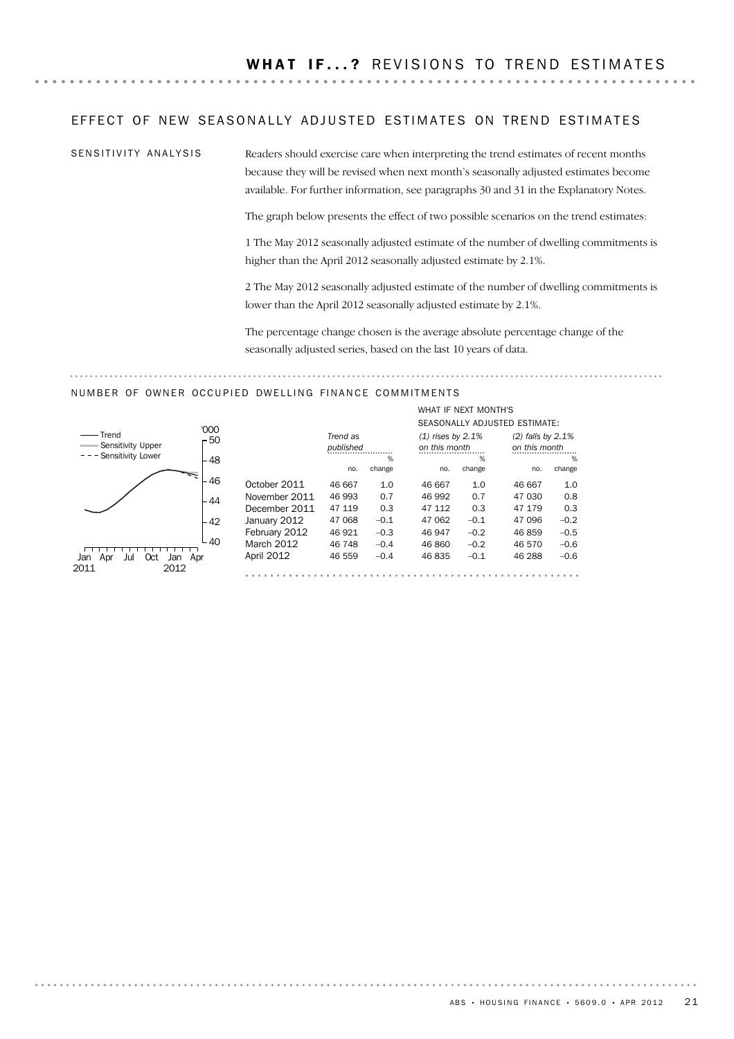### EFFECT OF NEW SEASONALLY ADJUSTED ESTIMATES ON TREND ESTIMATES

SENSITIVITY ANALYSIS

Readers should exercise care when interpreting the trend estimates of recent months because they will be revised when next month's seasonally adjusted estimates become available. For further information, see paragraphs 30 and 31 in the Explanatory Notes.

The graph below presents the effect of two possible scenarios on the trend estimates:

1 The May 2012 seasonally adjusted estimate of the number of dwelling commitments is higher than the April 2012 seasonally adjusted estimate by 2.1%.

2 The May 2012 seasonally adjusted estimate of the number of dwelling commitments is lower than the April 2012 seasonally adjusted estimate by 2.1%.

The percentage change chosen is the average absolute percentage change of the seasonally adjusted series, based on the last 10 years of data.

### NUMBER OF OWNER OCCUPIED DWELLING FINANCE COMMITMENTS

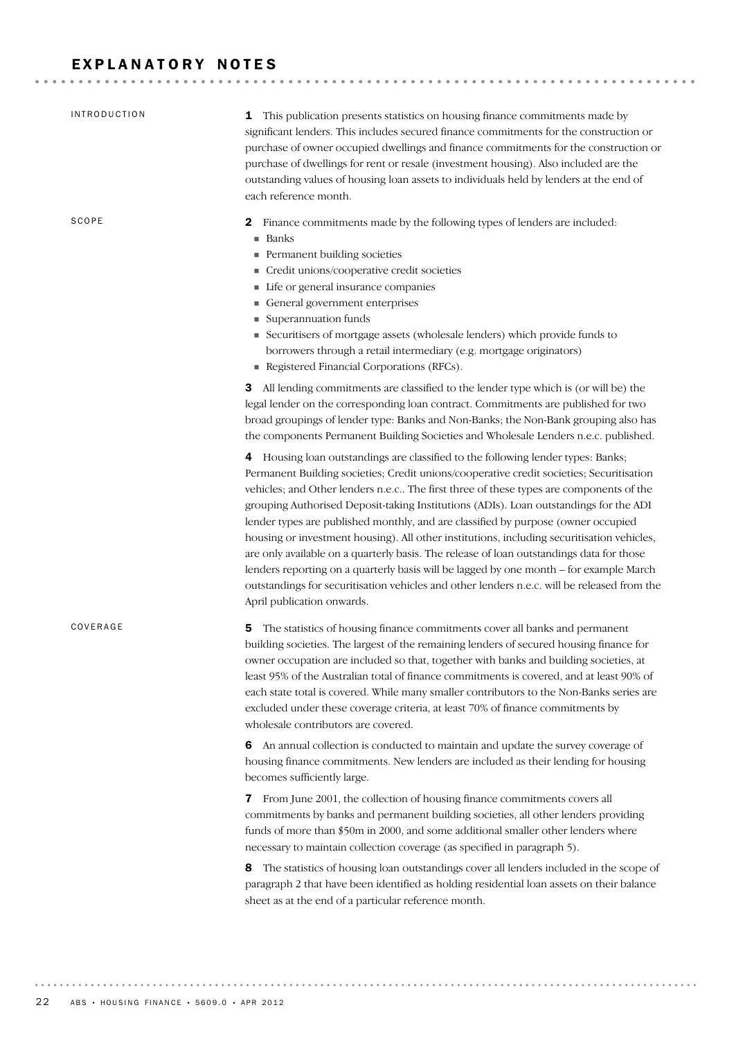### EXPLANATORY NOTES

| <b>INTRODUCTION</b> | <b>1</b> This publication presents statistics on housing finance commitments made by<br>significant lenders. This includes secured finance commitments for the construction or<br>purchase of owner occupied dwellings and finance commitments for the construction or<br>purchase of dwellings for rent or resale (investment housing). Also included are the<br>outstanding values of housing loan assets to individuals held by lenders at the end of<br>each reference month.                                                                                                                                                                                                                                                                                                                                                                                     |
|---------------------|-----------------------------------------------------------------------------------------------------------------------------------------------------------------------------------------------------------------------------------------------------------------------------------------------------------------------------------------------------------------------------------------------------------------------------------------------------------------------------------------------------------------------------------------------------------------------------------------------------------------------------------------------------------------------------------------------------------------------------------------------------------------------------------------------------------------------------------------------------------------------|
| SCOPE               | Finance commitments made by the following types of lenders are included:<br>2<br>■ Banks<br>Permanent building societies<br>Credit unions/cooperative credit societies<br>Life or general insurance companies<br>General government enterprises<br>Superannuation funds<br>Securitisers of mortgage assets (wholesale lenders) which provide funds to<br>borrowers through a retail intermediary (e.g. mortgage originators)<br>Registered Financial Corporations (RFCs).                                                                                                                                                                                                                                                                                                                                                                                             |
|                     | <b>3</b> All lending commitments are classified to the lender type which is (or will be) the<br>legal lender on the corresponding loan contract. Commitments are published for two<br>broad groupings of lender type: Banks and Non-Banks; the Non-Bank grouping also has<br>the components Permanent Building Societies and Wholesale Lenders n.e.c. published.                                                                                                                                                                                                                                                                                                                                                                                                                                                                                                      |
|                     | 4 Housing loan outstandings are classified to the following lender types: Banks;<br>Permanent Building societies; Credit unions/cooperative credit societies; Securitisation<br>vehicles; and Other lenders n.e.c The first three of these types are components of the<br>grouping Authorised Deposit-taking Institutions (ADIs). Loan outstandings for the ADI<br>lender types are published monthly, and are classified by purpose (owner occupied<br>housing or investment housing). All other institutions, including securitisation vehicles,<br>are only available on a quarterly basis. The release of loan outstandings data for those<br>lenders reporting on a quarterly basis will be lagged by one month - for example March<br>outstandings for securitisation vehicles and other lenders n.e.c. will be released from the<br>April publication onwards. |
| COVERAGE            | The statistics of housing finance commitments cover all banks and permanent<br>5<br>building societies. The largest of the remaining lenders of secured housing finance for<br>owner occupation are included so that, together with banks and building societies, at<br>least 95% of the Australian total of finance commitments is covered, and at least 90% of<br>each state total is covered. While many smaller contributors to the Non-Banks series are<br>excluded under these coverage criteria, at least 70% of finance commitments by<br>wholesale contributors are covered.                                                                                                                                                                                                                                                                                 |
|                     | <b>6</b> An annual collection is conducted to maintain and update the survey coverage of<br>housing finance commitments. New lenders are included as their lending for housing<br>becomes sufficiently large.                                                                                                                                                                                                                                                                                                                                                                                                                                                                                                                                                                                                                                                         |
|                     | From June 2001, the collection of housing finance commitments covers all<br>7<br>commitments by banks and permanent building societies, all other lenders providing<br>funds of more than \$50m in 2000, and some additional smaller other lenders where<br>necessary to maintain collection coverage (as specified in paragraph 5).                                                                                                                                                                                                                                                                                                                                                                                                                                                                                                                                  |
|                     | The statistics of housing loan outstandings cover all lenders included in the scope of<br>8<br>paragraph 2 that have been identified as holding residential loan assets on their balance<br>sheet as at the end of a particular reference month.                                                                                                                                                                                                                                                                                                                                                                                                                                                                                                                                                                                                                      |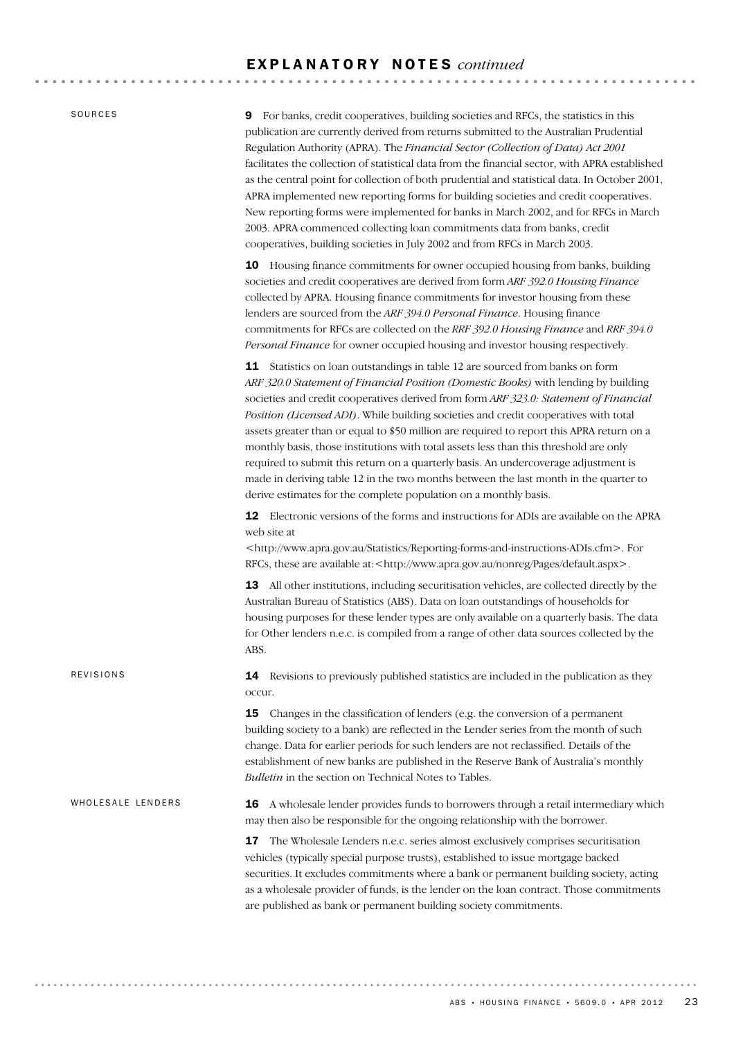SOURCES

REVISIONS

9 For banks, credit cooperatives, building societies and RFCs, the statistics in this publication are currently derived from returns submitted to the Australian Prudential Regulation Authority (APRA). The *Financial Sector (Collection of Data) Act 2001* facilitates the collection of statistical data from the financial sector, with APRA established as the central point for collection of both prudential and statistical data. In October 2001, APRA implemented new reporting forms for building societies and credit cooperatives. New reporting forms were implemented for banks in March 2002, and for RFCs in March 2003. APRA commenced collecting loan commitments data from banks, credit cooperatives, building societies in July 2002 and from RFCs in March 2003.

10 Housing finance commitments for owner occupied housing from banks, building societies and credit cooperatives are derived from form *ARF 392.0 Housing Finance* collected by APRA. Housing finance commitments for investor housing from these lenders are sourced from the *ARF 394.0 Personal Finance*. Housing finance commitments for RFCs are collected on the *RRF 392.0 Housing Finance* and *RRF 394.0 Personal Finance* for owner occupied housing and investor housing respectively.

11 Statistics on loan outstandings in table 12 are sourced from banks on form *ARF 320.0 Statement of Financial Position (Domestic Books)* with lending by building societies and credit cooperatives derived from form *ARF 323.0: Statement of Financial Position (Licensed ADI)*. While building societies and credit cooperatives with total assets greater than or equal to \$50 million are required to report this APRA return on a monthly basis, those institutions with total assets less than this threshold are only required to submit this return on a quarterly basis. An undercoverage adjustment is made in deriving table 12 in the two months between the last month in the quarter to derive estimates for the complete population on a monthly basis.

12 Electronic versions of the forms and instructions for ADIs are available on the APRA web site at

<http://www.apra.gov.au/Statistics/Reporting-forms-and-instructions-ADIs.cfm>. For RFCs, these are available at:<http://www.apra.gov.au/nonreg/Pages/default.aspx>.

13 All other institutions, including securitisation vehicles, are collected directly by the Australian Bureau of Statistics (ABS). Data on loan outstandings of households for housing purposes for these lender types are only available on a quarterly basis. The data for Other lenders n.e.c. is compiled from a range of other data sources collected by the ABS.

14 Revisions to previously published statistics are included in the publication as they occur.

**15** Changes in the classification of lenders (e.g. the conversion of a permanent building society to a bank) are reflected in the Lender series from the month of such change. Data for earlier periods for such lenders are not reclassified. Details of the establishment of new banks are published in the Reserve Bank of Australia's monthly *Bulletin* in the section on Technical Notes to Tables.

16 A wholesale lender provides funds to borrowers through a retail intermediary which may then also be responsible for the ongoing relationship with the borrower. WHOLESALE LENDERS

> 17 The Wholesale Lenders n.e.c. series almost exclusively comprises securitisation vehicles (typically special purpose trusts), established to issue mortgage backed securities. It excludes commitments where a bank or permanent building society, acting as a wholesale provider of funds, is the lender on the loan contract. Those commitments are published as bank or permanent building society commitments.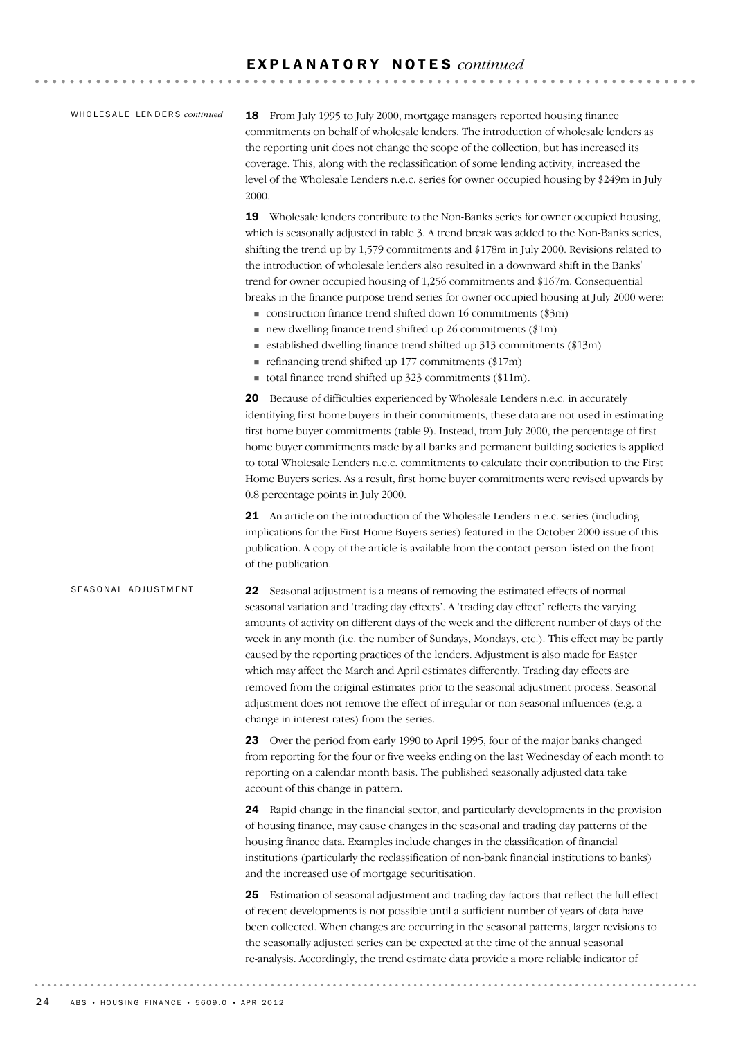### WHOLESALE LENDERS *continued*

18 From July 1995 to July 2000, mortgage managers reported housing finance commitments on behalf of wholesale lenders. The introduction of wholesale lenders as the reporting unit does not change the scope of the collection, but has increased its coverage. This, along with the reclassification of some lending activity, increased the level of the Wholesale Lenders n.e.c. series for owner occupied housing by \$249m in July 2000.

19 Wholesale lenders contribute to the Non-Banks series for owner occupied housing, which is seasonally adjusted in table 3. A trend break was added to the Non-Banks series, shifting the trend up by 1,579 commitments and \$178m in July 2000. Revisions related to the introduction of wholesale lenders also resulted in a downward shift in the Banks' trend for owner occupied housing of 1,256 commitments and \$167m. Consequential breaks in the finance purpose trend series for owner occupied housing at July 2000 were:

- $\blacksquare$  construction finance trend shifted down 16 commitments (\$3m)
- $\blacksquare$  new dwelling finance trend shifted up 26 commitments (\$1m)
- $\blacksquare$  established dwelling finance trend shifted up 313 commitments (\$13m)
- $\blacksquare$  refinancing trend shifted up 177 commitments (\$17m)
- total finance trend shifted up  $323$  commitments (\$11m).

20 Because of difficulties experienced by Wholesale Lenders n.e.c. in accurately identifying first home buyers in their commitments, these data are not used in estimating first home buyer commitments (table 9). Instead, from July 2000, the percentage of first home buyer commitments made by all banks and permanent building societies is applied to total Wholesale Lenders n.e.c. commitments to calculate their contribution to the First Home Buyers series. As a result, first home buyer commitments were revised upwards by 0.8 percentage points in July 2000.

21 An article on the introduction of the Wholesale Lenders n.e.c. series (including implications for the First Home Buyers series) featured in the October 2000 issue of this publication. A copy of the article is available from the contact person listed on the front of the publication.

### SEASONAL ADJUSTMENT

22 Seasonal adjustment is a means of removing the estimated effects of normal seasonal variation and 'trading day effects'. A 'trading day effect' reflects the varying amounts of activity on different days of the week and the different number of days of the week in any month (i.e. the number of Sundays, Mondays, etc.). This effect may be partly caused by the reporting practices of the lenders. Adjustment is also made for Easter which may affect the March and April estimates differently. Trading day effects are removed from the original estimates prior to the seasonal adjustment process. Seasonal adjustment does not remove the effect of irregular or non-seasonal influences (e.g. a change in interest rates) from the series.

23 Over the period from early 1990 to April 1995, four of the major banks changed from reporting for the four or five weeks ending on the last Wednesday of each month to reporting on a calendar month basis. The published seasonally adjusted data take account of this change in pattern.

24 Rapid change in the financial sector, and particularly developments in the provision of housing finance, may cause changes in the seasonal and trading day patterns of the housing finance data. Examples include changes in the classification of financial institutions (particularly the reclassification of non-bank financial institutions to banks) and the increased use of mortgage securitisation.

25 Estimation of seasonal adjustment and trading day factors that reflect the full effect of recent developments is not possible until a sufficient number of years of data have been collected. When changes are occurring in the seasonal patterns, larger revisions to the seasonally adjusted series can be expected at the time of the annual seasonal re-analysis. Accordingly, the trend estimate data provide a more reliable indicator of

. . . . . . . . . . . .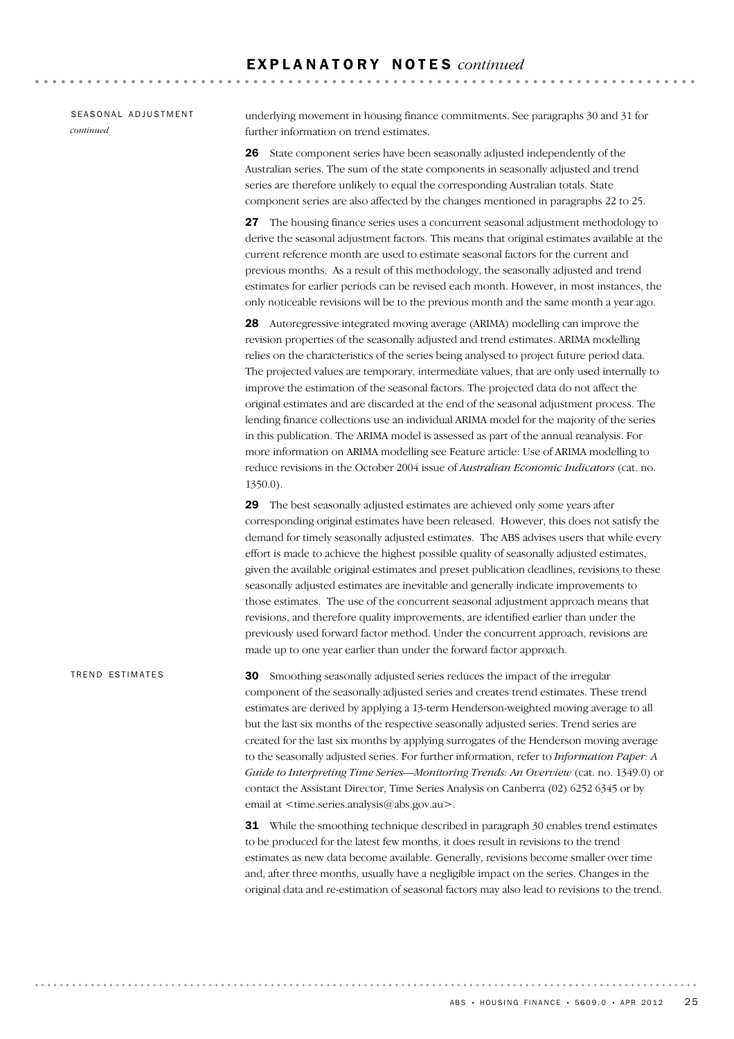### SEASONAL ADJUSTMENT *continued*

underlying movement in housing finance commitments. See paragraphs 30 and 31 for further information on trend estimates.

26 State component series have been seasonally adjusted independently of the Australian series. The sum of the state components in seasonally adjusted and trend series are therefore unlikely to equal the corresponding Australian totals. State component series are also affected by the changes mentioned in paragraphs 22 to 25.

27 The housing finance series uses a concurrent seasonal adjustment methodology to derive the seasonal adjustment factors. This means that original estimates available at the current reference month are used to estimate seasonal factors for the current and previous months. As a result of this methodology, the seasonally adjusted and trend estimates for earlier periods can be revised each month. However, in most instances, the only noticeable revisions will be to the previous month and the same month a year ago.

28 Autoregressive integrated moving average (ARIMA) modelling can improve the revision properties of the seasonally adjusted and trend estimates. ARIMA modelling relies on the characteristics of the series being analysed to project future period data. The projected values are temporary, intermediate values, that are only used internally to improve the estimation of the seasonal factors. The projected data do not affect the original estimates and are discarded at the end of the seasonal adjustment process. The lending finance collections use an individual ARIMA model for the majority of the series in this publication. The ARIMA model is assessed as part of the annual reanalysis. For more information on ARIMA modelling see Feature article: Use of ARIMA modelling to reduce revisions in the October 2004 issue of *Australian Economic Indicators* (cat. no. 1350.0).

29 The best seasonally adjusted estimates are achieved only some years after corresponding original estimates have been released. However, this does not satisfy the demand for timely seasonally adjusted estimates. The ABS advises users that while every effort is made to achieve the highest possible quality of seasonally adjusted estimates, given the available original estimates and preset publication deadlines, revisions to these seasonally adjusted estimates are inevitable and generally indicate improvements to those estimates. The use of the concurrent seasonal adjustment approach means that revisions, and therefore quality improvements, are identified earlier than under the previously used forward factor method. Under the concurrent approach, revisions are made up to one year earlier than under the forward factor approach.

30 Smoothing seasonally adjusted series reduces the impact of the irregular component of the seasonally adjusted series and creates trend estimates. These trend estimates are derived by applying a 13-term Henderson-weighted moving average to all but the last six months of the respective seasonally adjusted series. Trend series are created for the last six months by applying surrogates of the Henderson moving average to the seasonally adjusted series. For further information, refer to *Information Paper: A Guide to Interpreting Time Series—Monitoring Trends: An Overview* (cat. no. 1349.0) or contact the Assistant Director, Time Series Analysis on Canberra (02) 6252 6345 or by email at  $\leq$ time.series.analysis@abs.gov.au>. TREND ESTIMATES

> **31** While the smoothing technique described in paragraph 30 enables trend estimates to be produced for the latest few months, it does result in revisions to the trend estimates as new data become available. Generally, revisions become smaller over time and, after three months, usually have a negligible impact on the series. Changes in the original data and re-estimation of seasonal factors may also lead to revisions to the trend.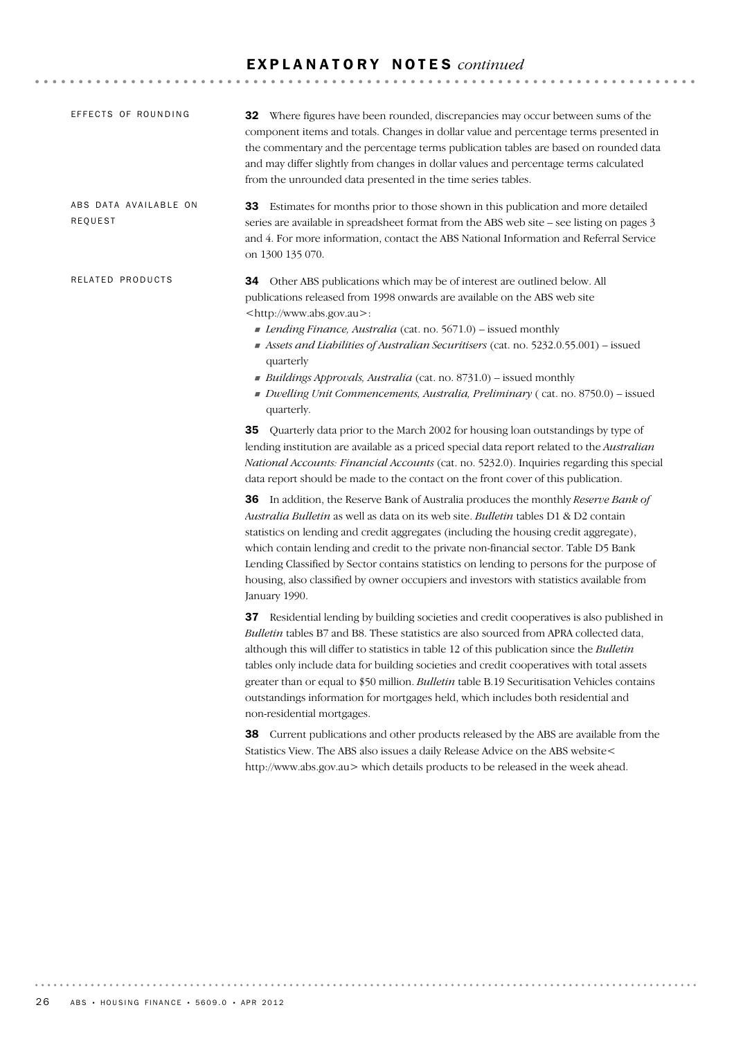| EFFECTS OF ROUNDING              | <b>32</b> Where figures have been rounded, discrepancies may occur between sums of the<br>component items and totals. Changes in dollar value and percentage terms presented in<br>the commentary and the percentage terms publication tables are based on rounded data<br>and may differ slightly from changes in dollar values and percentage terms calculated<br>from the unrounded data presented in the time series tables.                                                                                                                                                                                                                                                                                                                                                                                                                                                                                                                                                                                                               |
|----------------------------------|------------------------------------------------------------------------------------------------------------------------------------------------------------------------------------------------------------------------------------------------------------------------------------------------------------------------------------------------------------------------------------------------------------------------------------------------------------------------------------------------------------------------------------------------------------------------------------------------------------------------------------------------------------------------------------------------------------------------------------------------------------------------------------------------------------------------------------------------------------------------------------------------------------------------------------------------------------------------------------------------------------------------------------------------|
| ABS DATA AVAILABLE ON<br>REQUEST | 33 Estimates for months prior to those shown in this publication and more detailed<br>series are available in spreadsheet format from the ABS web site – see listing on pages 3<br>and 4. For more information, contact the ABS National Information and Referral Service<br>on 1300 135 070.                                                                                                                                                                                                                                                                                                                                                                                                                                                                                                                                                                                                                                                                                                                                                  |
| RELATED PRODUCTS                 | Other ABS publications which may be of interest are outlined below. All<br>34<br>publications released from 1998 onwards are available on the ABS web site<br><http: www.abs.gov.au="">:<br/>Lending Finance, Australia (cat. no. 5671.0) – issued monthly<br/>Assets and Liabilities of Australian Securitisers (cat. no. 5232.0.55.001) - issued<br/>quarterly<br/>Buildings Approvals, Australia (cat. no. 8731.0) - issued monthly<br/>Dwelling Unit Commencements, Australia, Preliminary (cat. no. 8750.0) - issued<br/>quarterly.</http:>                                                                                                                                                                                                                                                                                                                                                                                                                                                                                               |
|                                  | <b>35</b> Quarterly data prior to the March 2002 for housing loan outstandings by type of<br>lending institution are available as a priced special data report related to the Australian<br>National Accounts: Financial Accounts (cat. no. 5232.0). Inquiries regarding this special<br>data report should be made to the contact on the front cover of this publication.<br>36 In addition, the Reserve Bank of Australia produces the monthly Reserve Bank of<br>Australia Bulletin as well as data on its web site. Bulletin tables D1 & D2 contain<br>statistics on lending and credit aggregates (including the housing credit aggregate),<br>which contain lending and credit to the private non-financial sector. Table D5 Bank<br>Lending Classified by Sector contains statistics on lending to persons for the purpose of<br>housing, also classified by owner occupiers and investors with statistics available from<br>January 1990.<br>37 Residential lending by building societies and credit cooperatives is also published in |
|                                  | Bulletin tables B7 and B8. These statistics are also sourced from APRA collected data,<br>although this will differ to statistics in table 12 of this publication since the <i>Bulletin</i><br>tables only include data for building societies and credit cooperatives with total assets<br>greater than or equal to \$50 million. Bulletin table B.19 Securitisation Vehicles contains<br>outstandings information for mortgages held, which includes both residential and<br>non-residential mortgages.                                                                                                                                                                                                                                                                                                                                                                                                                                                                                                                                      |
|                                  | 38 Current publications and other products released by the ABS are available from the<br>Statistics View. The ABS also issues a daily Release Advice on the ABS website<<br>http://www.abs.gov.au> which details products to be released in the week ahead.                                                                                                                                                                                                                                                                                                                                                                                                                                                                                                                                                                                                                                                                                                                                                                                    |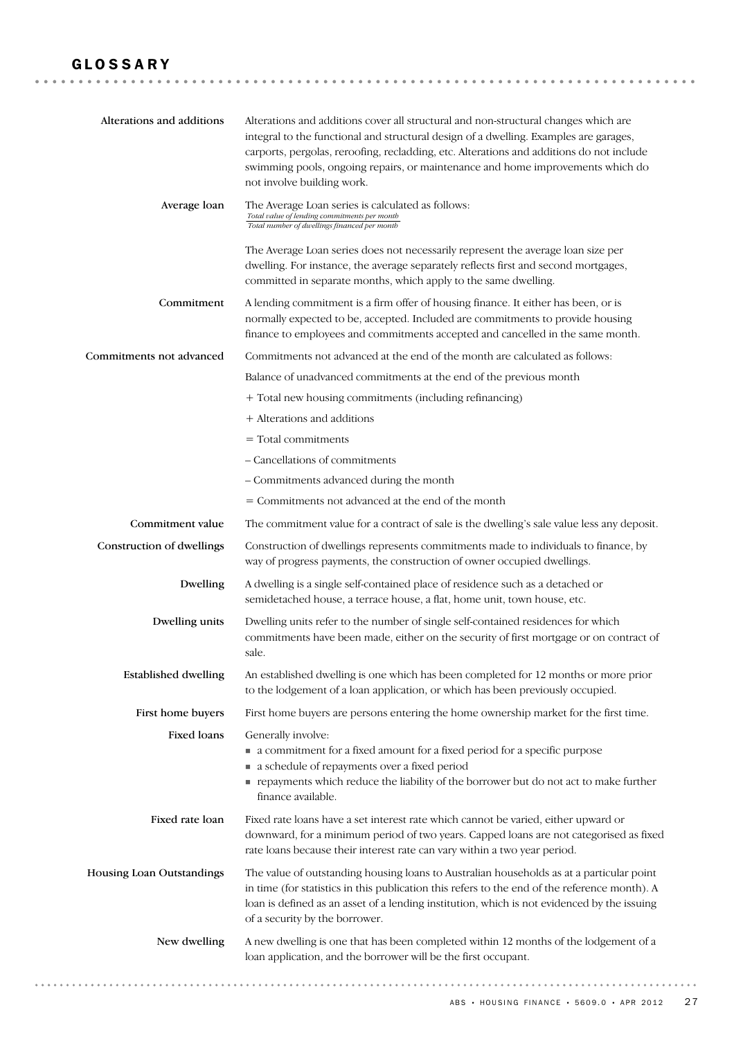### GLOSSARY

| Alterations and additions   | Alterations and additions cover all structural and non-structural changes which are<br>integral to the functional and structural design of a dwelling. Examples are garages,<br>carports, pergolas, reroofing, recladding, etc. Alterations and additions do not include<br>swimming pools, ongoing repairs, or maintenance and home improvements which do<br>not involve building work. |
|-----------------------------|------------------------------------------------------------------------------------------------------------------------------------------------------------------------------------------------------------------------------------------------------------------------------------------------------------------------------------------------------------------------------------------|
| Average loan                | The Average Loan series is calculated as follows:<br>Total value of lending commitments per month<br>Total number of dwellings financed per month                                                                                                                                                                                                                                        |
|                             | The Average Loan series does not necessarily represent the average loan size per<br>dwelling. For instance, the average separately reflects first and second mortgages,<br>committed in separate months, which apply to the same dwelling.                                                                                                                                               |
| Commitment                  | A lending commitment is a firm offer of housing finance. It either has been, or is<br>normally expected to be, accepted. Included are commitments to provide housing<br>finance to employees and commitments accepted and cancelled in the same month.                                                                                                                                   |
| Commitments not advanced    | Commitments not advanced at the end of the month are calculated as follows:                                                                                                                                                                                                                                                                                                              |
|                             | Balance of unadvanced commitments at the end of the previous month                                                                                                                                                                                                                                                                                                                       |
|                             | + Total new housing commitments (including refinancing)                                                                                                                                                                                                                                                                                                                                  |
|                             | + Alterations and additions                                                                                                                                                                                                                                                                                                                                                              |
|                             | $=$ Total commitments                                                                                                                                                                                                                                                                                                                                                                    |
|                             | - Cancellations of commitments                                                                                                                                                                                                                                                                                                                                                           |
|                             | - Commitments advanced during the month                                                                                                                                                                                                                                                                                                                                                  |
|                             | = Commitments not advanced at the end of the month                                                                                                                                                                                                                                                                                                                                       |
| Commitment value            | The commitment value for a contract of sale is the dwelling's sale value less any deposit.                                                                                                                                                                                                                                                                                               |
| Construction of dwellings   | Construction of dwellings represents commitments made to individuals to finance, by<br>way of progress payments, the construction of owner occupied dwellings.                                                                                                                                                                                                                           |
| Dwelling                    | A dwelling is a single self-contained place of residence such as a detached or<br>semidetached house, a terrace house, a flat, home unit, town house, etc.                                                                                                                                                                                                                               |
| Dwelling units              | Dwelling units refer to the number of single self-contained residences for which<br>commitments have been made, either on the security of first mortgage or on contract of<br>sale.                                                                                                                                                                                                      |
| <b>Established dwelling</b> | An established dwelling is one which has been completed for 12 months or more prior<br>to the lodgement of a loan application, or which has been previously occupied.                                                                                                                                                                                                                    |
| First home buyers           | First home buyers are persons entering the home ownership market for the first time.                                                                                                                                                                                                                                                                                                     |
| Fixed loans                 | Generally involve:<br>• a commitment for a fixed amount for a fixed period for a specific purpose<br>a schedule of repayments over a fixed period<br>payments which reduce the liability of the borrower but do not act to make further<br>finance available.                                                                                                                            |
| Fixed rate loan             | Fixed rate loans have a set interest rate which cannot be varied, either upward or<br>downward, for a minimum period of two years. Capped loans are not categorised as fixed<br>rate loans because their interest rate can vary within a two year period.                                                                                                                                |
| Housing Loan Outstandings   | The value of outstanding housing loans to Australian households as at a particular point<br>in time (for statistics in this publication this refers to the end of the reference month). A<br>loan is defined as an asset of a lending institution, which is not evidenced by the issuing<br>of a security by the borrower.                                                               |
| New dwelling                | A new dwelling is one that has been completed within 12 months of the lodgement of a<br>loan application, and the borrower will be the first occupant.                                                                                                                                                                                                                                   |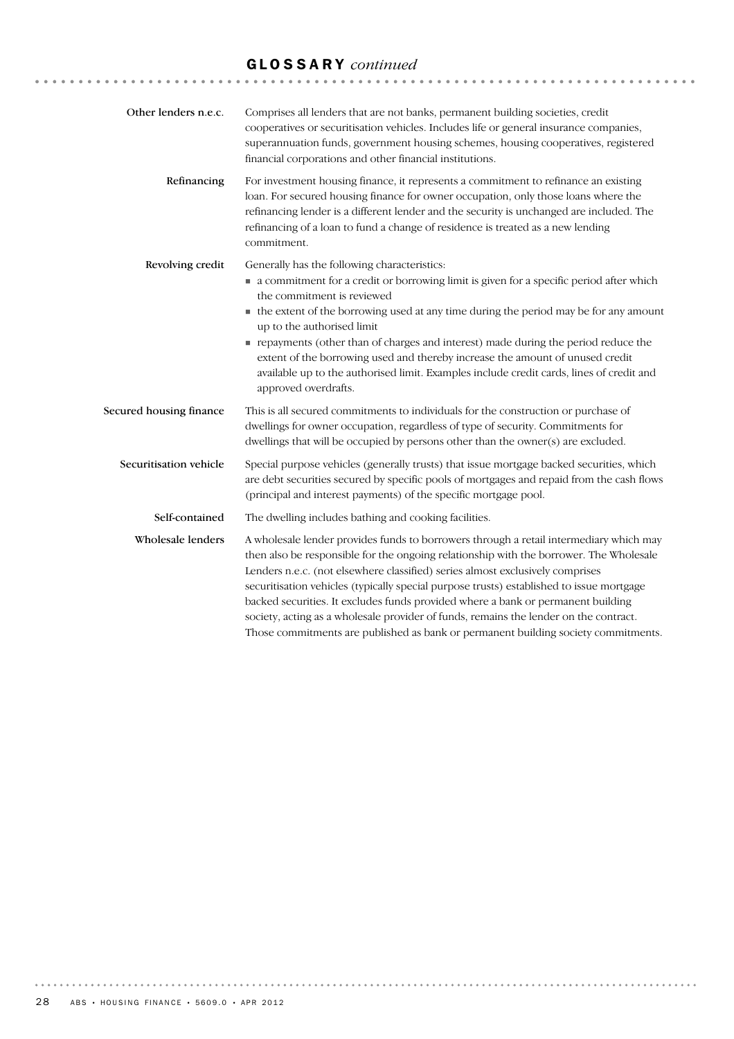# GLOSSARY *continued*

| Other lenders n.e.c.    | Comprises all lenders that are not banks, permanent building societies, credit<br>cooperatives or securitisation vehicles. Includes life or general insurance companies,<br>superannuation funds, government housing schemes, housing cooperatives, registered<br>financial corporations and other financial institutions.                                                                                                                                                                                                                                                                                                       |
|-------------------------|----------------------------------------------------------------------------------------------------------------------------------------------------------------------------------------------------------------------------------------------------------------------------------------------------------------------------------------------------------------------------------------------------------------------------------------------------------------------------------------------------------------------------------------------------------------------------------------------------------------------------------|
| Refinancing             | For investment housing finance, it represents a commitment to refinance an existing<br>loan. For secured housing finance for owner occupation, only those loans where the<br>refinancing lender is a different lender and the security is unchanged are included. The<br>refinancing of a loan to fund a change of residence is treated as a new lending<br>commitment.                                                                                                                                                                                                                                                          |
| Revolving credit        | Generally has the following characteristics:<br>• a commitment for a credit or borrowing limit is given for a specific period after which<br>the commitment is reviewed<br>• the extent of the borrowing used at any time during the period may be for any amount<br>up to the authorised limit<br>repayments (other than of charges and interest) made during the period reduce the<br>extent of the borrowing used and thereby increase the amount of unused credit<br>available up to the authorised limit. Examples include credit cards, lines of credit and<br>approved overdrafts.                                        |
| Secured housing finance | This is all secured commitments to individuals for the construction or purchase of<br>dwellings for owner occupation, regardless of type of security. Commitments for<br>dwellings that will be occupied by persons other than the owner(s) are excluded.                                                                                                                                                                                                                                                                                                                                                                        |
| Securitisation vehicle  | Special purpose vehicles (generally trusts) that issue mortgage backed securities, which<br>are debt securities secured by specific pools of mortgages and repaid from the cash flows<br>(principal and interest payments) of the specific mortgage pool.                                                                                                                                                                                                                                                                                                                                                                        |
| Self-contained          | The dwelling includes bathing and cooking facilities.                                                                                                                                                                                                                                                                                                                                                                                                                                                                                                                                                                            |
| Wholesale lenders       | A wholesale lender provides funds to borrowers through a retail intermediary which may<br>then also be responsible for the ongoing relationship with the borrower. The Wholesale<br>Lenders n.e.c. (not elsewhere classified) series almost exclusively comprises<br>securitisation vehicles (typically special purpose trusts) established to issue mortgage<br>backed securities. It excludes funds provided where a bank or permanent building<br>society, acting as a wholesale provider of funds, remains the lender on the contract.<br>Those commitments are published as bank or permanent building society commitments. |